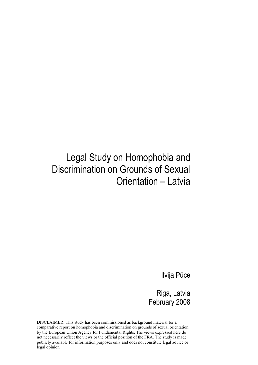## Legal Study on Homophobia and Discrimination on Grounds of Sexual Orientation – Latvia

Ilvija Pūce

Riga, Latvia February 2008

DISCLAIMER: This study has been commissioned as background material for a comparative report on homophobia and discrimination on grounds of sexual orientation by the European Union Agency for Fundamental Rights. The views expressed here do not necessarily reflect the views or the official position of the FRA. The study is made publicly available for information purposes only and does not constitute legal advice or legal opinion.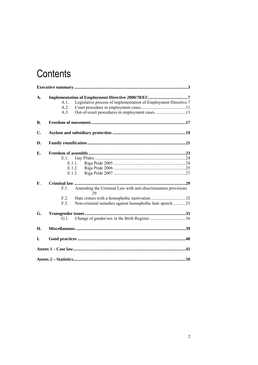# Contents

| A.        | A.1.<br>A.2.<br>A.3. | Legislative process of implementation of Employment Directive.7                                                               |  |
|-----------|----------------------|-------------------------------------------------------------------------------------------------------------------------------|--|
| <b>B.</b> |                      |                                                                                                                               |  |
| C.        |                      |                                                                                                                               |  |
| D.        |                      |                                                                                                                               |  |
| Е.        | E.1.                 | E.1.1.<br>E.1.2.<br>E.1.3.                                                                                                    |  |
| F.        | F.1.<br>F.2<br>F.3.  | Amending the Criminal Law with anti-discrimination provisions<br>29<br>Non-criminal remedies against homophobic hate speech33 |  |
| G.        | $G.1$ .              |                                                                                                                               |  |
| Η.        |                      |                                                                                                                               |  |
| I.        |                      |                                                                                                                               |  |
|           |                      |                                                                                                                               |  |
|           |                      |                                                                                                                               |  |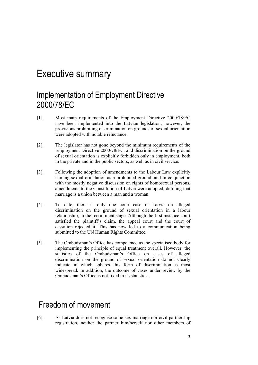## Executive summary

### Implementation of Employment Directive 2000/78/EC

- [1]. Most main requirements of the Employment Directive 2000/78/EC have been implemented into the Latvian legislation; however, the provisions prohibiting discrimination on grounds of sexual orientation were adopted with notable reluctance.
- [2]. The legislator has not gone beyond the minimum requirements of the Employment Directive 2000/78/EC, and discrimination on the ground of sexual orientation is explicitly forbidden only in employment, both in the private and in the public sectors, as well as in civil service.
- [3]. Following the adoption of amendments to the Labour Law explicitly naming sexual orientation as a prohibited ground, and in conjunction with the mostly negative discussion on rights of homosexual persons, amendments to the Constitution of Latvia were adopted, defining that marriage is a union between a man and a woman.
- [4]. To date, there is only one court case in Latvia on alleged discrimination on the ground of sexual orientation in a labour relationship, in the recruitment stage. Although the first instance court satisfied the plaintiff's claim, the appeal court and the court of cassation rejected it. This has now led to a communication being submitted to the UN Human Rights Committee.
- [5]. The Ombudsman's Office has competence as the specialised body for implementing the principle of equal treatment overall. However, the statistics of the Ombudsman's Office on cases of alleged discrimination on the ground of sexual orientation do not clearly indicate in which spheres this form of discrimination is most widespread. In addition, the outcome of cases under review by the Ombudsman's Office is not fixed in its statistics..

### Freedom of movement

[6]. As Latvia does not recognise same-sex marriage nor civil partnership registration, neither the partner him/herself nor other members of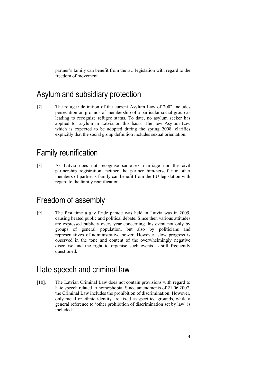partner's family can benefit from the EU legislation with regard to the freedom of movement.

### Asylum and subsidiary protection

[7]. The refugee definition of the current Asylum Law of 2002 includes persecution on grounds of membership of a particular social group as leading to recognize refugee status. To date, no asylum seeker has applied for asylum in Latvia on this basis. The new Asylum Law which is expected to be adopted during the spring 2008, clarifies explicitly that the social group definition includes sexual orientation.

### Family reunification

[8]. As Latvia does not recognise same-sex marriage nor the civil partnership registration, neither the partner him/herself nor other members of partner's family can benefit from the EU legislation with regard to the family reunification.

### Freedom of assembly

[9]. The first time a gay Pride parade was held in Latvia was in 2005, causing heated public and political debate. Since then various attitudes are expressed publicly every year concerning this event not only by groups of general population, but also by politicians and representatives of administrative power. However, slow progress is observed in the tone and content of the overwhelmingly negative discourse and the right to organise such events is still frequently questioned.

### Hate speech and criminal law

[10]. The Latvian Criminal Law does not contain provisions with regard to hate speech related to homophobia. Since amendments of 21.06.2007, the Criminal Law includes the prohibition of discrimination. However, only racial or ethnic identity are fixed as specified grounds, while a general reference to 'other prohibition of discrimination set by law' is included.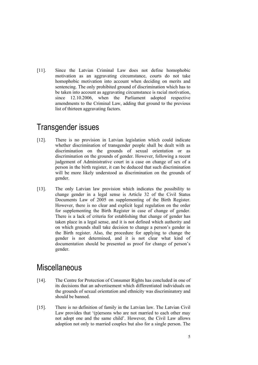[11]. Since the Latvian Criminal Law does not define homophobic motivation as an aggravating circumstance, courts do not take homophobic motivation into account when deciding on merits and sentencing. The only prohibited ground of discrimination which has to be taken into account as aggravating circumstance is racial motivation, since 12.10.2006, when the Parliament adopted respective amendments to the Criminal Law, adding that ground to the previous list of thirteen aggravating factors.

### Transgender issues

- [12]. There is no provision in Latvian legislation which could indicate whether discrimination of transgender people shall be dealt with as discrimination on the grounds of sexual orientation or as discrimination on the grounds of gender. However, following a recent judgement of Administrative court in a case on change of sex of a person in the birth register, it can be deduced that such discrimination will be more likely understood as discrimination on the grounds of gender.
- [13]. The only Latvian law provision which indicates the possibility to change gender in a legal sense is Article 32 of the Civil Status Documents Law of 2005 on supplementing of the Birth Register. However, there is no clear and explicit legal regulation on the order for supplementing the Birth Register in case of change of gender. There is a lack of criteria for establishing that change of gender has taken place in a legal sense, and it is not defined which authority and on which grounds shall take decision to change a person's gender in the Birth register. Also, the procedure for applying to change the gender is not determined, and it is not clear what kind of documentation should be presented as proof for change of person's gender.

### **Miscellaneous**

- [14]. The Centre for Protection of Consumer Rights has concluded in one of its decisions that an advertisement which differentiated individuals on the grounds of sexual orientation and ethnicity was discriminatory and should be banned.
- [15]. There is no definition of family in the Latvian law. The Latvian Civil Law provides that '(p)ersons who are not married to each other may not adopt one and the same child'. However, the Civil Law allows adoption not only to married couples but also for a single person. The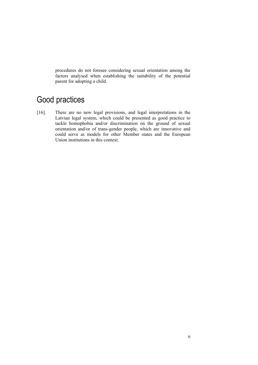procedures do not foresee considering sexual orientation among the factors analysed when establishing the suitability of the potential parent for adopting a child.

## Good practices

[16]. There are no new legal provisions, and legal interpretations in the Latvian legal system, which could be presented as good practice to tackle homophobia and/or discrimination on the ground of sexual orientation and/or of trans-gender people, which are innovative and could serve as models for other Member states and the European Union institutions in this context.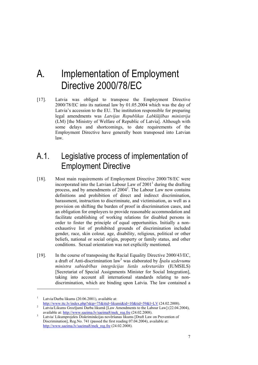## A. Implementation of Employment Directive 2000/78/EC

[17]. Latvia was obliged to transpose the Employment Directive 2000/78/EC into its national law by 01.05.2004 which was the day of Latvia's accession to the EU. The institution responsible for preparing legal amendments was *Latvijas Republikas Labklājības ministrija* (LM) [the Ministry of Welfare of Republic of Latvia]. Although with some delays and shortcomings, to date requirements of the Employment Directive have generally been transposed into Latvian law.

### A.1. Legislative process of implementation of Employment Directive

- [18]. Most main requirements of Employment Directive 2000/78/EC were incorporated into the Latvian Labour Law of  $2001<sup>1</sup>$  during the drafting process, and by amendments of 2004<sup>2</sup>. The Labour Law now contains definitions and prohibition of direct and indirect discrimination, harassment, instruction to discriminate, and victimisation, as well as a provision on shifting the burden of proof in discrimination cases, and an obligation for employers to provide reasonable accommodation and facilitate establishing of working relations for disabled persons in order to foster the principle of equal opportunities. Initially a nonexhaustive list of prohibited grounds of discrimination included gender, race, skin colour, age, disability, religious, political or other beliefs, national or social origin, property or family status, and other conditions. Sexual orientation was not explicitly mentioned.
- [19]. In the course of transposing the Racial Equality Directive 2000/43/EC, a draft of Anti-discrimination law<sup>3</sup> was elaborated by *Īpašu uzdevumu ministra sabiedrības integrācijas lietās sekretariāts* (IUMSILS) [Secretariat of Special Assignments Minister for Social Integration], taking into account all international standards relating to nondiscrimination, which are binding upon Latvia. The law contained a

<sup>&</sup>lt;sup>1</sup> Latvia/Darba likums (20.06.2001), available at:<br> $\frac{http://www.ttc.lv/index.php?skip=75&\text{tii}-1&\text{kumi}&\text{tid}=10&\text{tid}=59&\text{t}=LV (24.02.2008).}{}$ 

<sup>&</sup>lt;sup>2</sup> Latvia/Likums Grozījumi Darba likumā [Law Amendments to the Labour Law] (22.04.2004). available at:  $\frac{http://www.saeima.v/saeima8/mek_reg.fre}{http://www.saeima.v/saeima8/mek_reg.fre} (24.02.2008).$ 

Latvia/ Likumprojekts Diskriminācijas novēršanas likums [Draft Law on Prevention of Discrimination], Reg.No. 741 (passed the first reading 07.04.2004), available at: http://www.saeima.lv/saeima8/mek\_reg.fre (24.02.2008).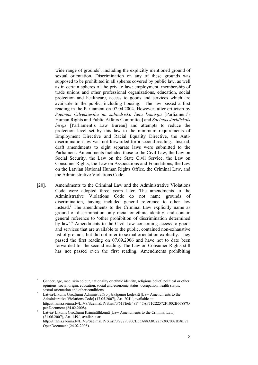wide range of grounds<sup>4</sup>, including the explicitly mentioned ground of sexual orientation. Discrimination on any of these grounds was supposed to be prohibited in all spheres covered by public law, as well as in certain spheres of the private law: employment, membership of trade unions and other professional organizations, education, social protection and healthcare, access to goods and services which are available to the public, including housing. The law passed a first reading in the Parliament on 07.04.2004. However, after criticism by *Saeimas Cilvēktiesību un sabiedrisko lietu komisija* [Parliament's Human Rights and Public Affairs Committee] and *Saeimas Juridiskais birojs* [Parliament's Law Bureau] and attempts to reduce the protection level set by this law to the minimum requirements of Employment Directive and Racial Equality Directive, the Antidiscrimination law was not forwarded for a second reading. Instead, draft amendments to eight separate laws were submitted to the Parliament. Amendments included those to the Civil Law, the Law on Social Security, the Law on the State Civil Service, the Law on Consumer Rights, the Law on Associations and Foundations, the Law on the Latvian National Human Rights Office, the Criminal Law, and the Administrative Violations Code.

[20]. Amendments to the Criminal Law and the Administrative Violations Code were adopted three years later. The amendments to the Administrative Violations Code do not name grounds of discrimination, having included general reference to other law instead.<sup>5</sup> The amendments to the Criminal Law explicitly name as ground of discrimination only racial or ethnic identity, and contain general reference to 'other prohibition of discrimination determined by law'.<sup>6</sup> Amendments to the Civil Law concerning access to goods and services that are available to the public, contained non-exhaustive list of grounds, but did not refer to sexual orientation explicitly. They passed the first reading on 07.09.2006 and have not to date been forwarded for the second reading. The Law on Consumer Rights still has not passed even the first reading. Amendments prohibiting

<sup>4</sup> Gender, age, race, skin colour, nationality or ethnic identity, religious belief, political or other opinions, social origin, education, social and economic status, occupation, health status, sexual orientation and other conditions.

Latvia/Likums Grozījumi Administratīvo pārkāpumu kodeksā [Law Amendments to the Administrative Violations Code] (17.05.2007), Art. 204<sup>17</sup>, available at: http://titania.saeima.lv/LIVS/SaeimaLIVS.nsf/0/61FE6B48F447AF71C22572F1002B6688?O penDocument (24.02.2008).

Latvia/ Likums Grozījumi Krimināllikumā [Law Amendments to the Criminal Law]  $(21.06.2007)$ , Art. 149.<sup>1</sup>, available at: http://titania.saeima.lv/LIVS/SaeimaLIVS.nsf/0/2779080CB65A88A8C225730C002B58E8? OpenDocument (24.02.2008).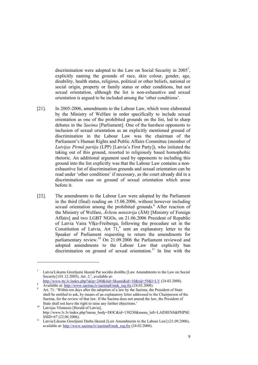discrimination were adopted to the Law on Social Security in  $2005^7$ , explicitly naming the grounds of race, skin colour, gender, age, disability, health status, religious, political or other beliefs, national or social origin, property or family status or other conditions, but not sexual orientation, although the list is non-exhaustive and sexual orientation is argued to be included among the 'other conditions'.

- [21]. In 2005-2006, amendments to the Labour Law, which were elaborated by the Ministry of Welfare in order specifically to include sexual orientation as one of the prohibited grounds on the list, led to sharp debates in the *Saeima* [Parliament]. One of the harshest opponents to inclusion of sexual orientation as an explicitly mentioned ground of discrimination in the Labour Law was the chairman of the Parliament's Human Rights and Public Affairs Committee (member of *Latvijas Pirmā partija* (LPP) [Latvia's First Party]), who initiated the taking out of this ground, resorted to religiously based homophobic rhetoric. An additional argument used by opponents to including this ground into the list explicitly was that the Labour Law contains a nonexhaustive list of discrimination grounds and sexual orientation can be read under 'other conditions' if necessary, as the court already did in a discrimination case on ground of sexual orientation which arose before it.
- [22]. The amendments to the Labour Law were adopted by the Parliament in the third (final) reading on 15.06.2006, without however including sexual orientation among the prohibited grounds.<sup>8</sup> After reaction of the Ministry of Welfare, *Ārlietu ministrija* (ĀM) [Ministry of Foreign Affairs] and two LGBT NGOs, on 21.06.2006 President of Republic of Latvia Vaira Vīķe-Freiberga, following the procedure set in the Constitution of Latvia, Art  $71$ ,<sup>9</sup> sent an explanatory letter to the Speaker of Parliament requesting to return the amendments for parliamentary review.<sup>10</sup> On 21.09.2006 the Parliament reviewed and adopted amendments to the Labour Law that explicitly ban discrimination on ground of sexual orientation.<sup>11</sup> In line with the

-

<sup>7</sup> Latvia/Likums Grozījumi likumā Par sociālo drošību [Law Amendments to the Law on Social Security]  $(01.12.2005)$ , Art. 2.<sup>1</sup>, available at:

http://www.ttc.lv/index.php?skip=240&itid=likumi&id=10&tid=59&l=LV (24.02.2008).

Available at: http://www.saeima.lv/saeima8/mek\_reg.fre (24.02.2008).

Art. 71: 'Within ten days after the adoption of a law by the Saeima, the President of State shall be entitled to ask, by means of an explanatory letter addressed to the Chairperson of the Saeima, for the review of that law. If the Saeima does not amend the law, the President of State shall not have the right to raise any further objections.

 $\frac{10}{10}$  Latvijas Vēstnesis [Herald of Latvia], http://www.lv.lv/index.php?menu\_body=DOC&id=138230&menu\_left=LAIDIENS&PHPSE SSID=67 (22.06.2006).<br>Latvia/Likums Grozījumi Darba likumā [Law Amendments to the Labour Law] (21.09.2006),

available at: http://www.saeima.lv/saeima8/mek\_reg.fre (24.02.2008).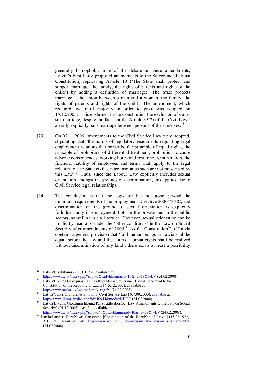generally homophobic tone of the debate on these amendments, Latvia's First Party proposed amendments to the Satversme [Latvian Constitution] rephrasing Article 10 ('The State shall protect and support marriage, the family, the rights of parents and rights of the child') by adding a definition of marriage: 'The State protects marriage – the union between a man and a woman, the family, the rights of parents and rights of the child'. The amendment, which required two third majority in order to pass, was adopted on 15.12.2005. This enshrined in the Constitution the exclusion of samesex marriage, despite the fact that the Article  $35(2)$  of the Civil Law<sup>12</sup> already explicitly bans marriage between persons of the same sex.<sup>13</sup>

- [23]. On 02.11.2006. amendments to the Civil Service Law were adopted, stipulating that 'the norms of regulatory enactments regulating legal employment relations that prescribe the principle of equal rights, the principle of prohibition of differential treatment, prohibition to cause adverse consequences, working hours and rest time, remuneration, the financial liability of employees and terms shall apply to the legal relations of the State civil service insofar as such are not prescribed by this Law'.14 Thus, since the Labour Law explicitly includes sexual orientation amongst the grounds of discrimination, this applies also to Civil Service legal relationships.
- [24]. The conclusion is that the legislator has not gone beyond the minimum requirements of the Employment Directive 2000/78/EC, and discrimination on the ground of sexual orientation is explicitly forbidden only in employment, both in the private and in the public sectors, as well as in civil service. However, sexual orientation can be implicitly read also under the 'other conditions' in the Law on Social Security after amendments of  $2005^{15}$ . As the Constitution<sup>16</sup> of Latvia contains a general provision that '[a]ll human beings in Latvia shall be equal before the law and the courts. Human rights shall be realized without discrimination of any kind', there exists at least a possibility

-

 $12$  Latvia/Civillikums (28.01.1937), available at:

http://www.ttc.lv/index.php?skip=0&itid=likumi&id=10&tid=59&l=LV (24.02.2008).<br>Latvia/Likums Grozījums Latvijas Republikas Satversmē [Law Amendment to the Constitution of the Republic of Latvia] (15.12.2005), available at:

http://www.saeima.lv/saeima8/mek\_reg.fre (24.02.2008).<br>
14 Latvia/Valsts Civildienesta likums [Civil Service Law] (07.09.2000), available at:

http://www.likumi.lv/doc.php?id=10944&mode=KDOC (24.02.2008).<br>
15 Latvia/Likums Grozījumi likumā Par sociālo drošību [Law Amendments to the Law on Social Security] (01.12.2005), Art. 2.<sup>1</sup>, available at:

http://www.ttc.lv/index.php?skip=240&itid=likumi&id=10&tid=59&l=LV (24.02.2008).<br><sup>16</sup> Latvia/Latvijas Republikas Satversme [Constitution of the Republic of Latvia] (15.02.1922), Art. 91. Available at: http://www.saeima.lv/Likumdosana/likumdosana\_satversme.html (24.02.2008).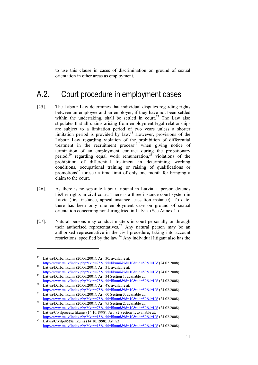to use this clause in cases of discrimination on ground of sexual orientation in other areas as employment.

### A.2. Court procedure in employment cases

- [25]. The Labour Law determines that individual disputes regarding rights between an employee and an employer, if they have not been settled within the undertaking, shall be settled in court.<sup>17</sup> The Law also stipulates that all claims arising from employment legal relationships are subject to a limitation period of two years unless a shorter limitation period is provided by law.18 However, provisions of the Labour Law regarding violation of the prohibition of differential treatment in the recruitment process<sup>19</sup> when giving notice of termination of an employment contract during the probationary period,<sup>20</sup> regarding equal work remuneration,<sup>21</sup> violations of the prohibition of differential treatment in determining working conditions, occupational training or raising of qualifications or promotions<sup>22</sup> foresee a time limit of only one month for bringing a claim to the court.
- [26]. As there is no separate labour tribunal in Latvia, a person defends his/her rights in civil court. There is a three instance court system in Latvia (first instance, appeal instance, cassation instance). To date, there has been only one employment case on ground of sexual orientation concerning non-hiring tried in Latvia. (See Annex 1.)
- [27]. Natural persons may conduct matters in court personally or through their authorised representatives.<sup>23</sup> Any natural person may be an authorised representative in the civil procedure, taking into account restrictions, specified by the law.24 Any individual litigant also has the

<sup>17</sup> Latvia/Darba likums (20.06.2001), Art. 30, available at: http://www.ttc.lv/index.php?skip=75&itid=likumi&id=10&tid=59&l=LV (24.02.2008).<br>Latvia/Darba likums (20.06.2001), Art. 31, available at:

http://www.ttc.lv/index.php?skip=75&itid=likumi&id=10&tid=59&l=LV (24.02.2008).<br><sup>19</sup> Latvia/Darba likums (20.06.2001), Art. 34 Section 1, available at:

http://www.ttc.lv/index.php?skip=75&itid=likumi&id=10&tid=59&l=LV (24.02.2008).<br><sup>20</sup> Latvia/Darba likums (20.06.2001), Art. 48, available at:

http://www.ttc.lv/index.php?skip=75&itid=likumi&id=10&tid=59&l=LV (24.02.2008).<br>Latvia/Darba likums (20.06.2001), Art. 60 Section 3, available at:<br>http://www.ttc.lv/index.php?skip=75&itid=likumi&id=10&tid=59&l=LV (24.02.20

 $\frac{22}{\text{Latvia/Darba likums}$  (20.06.2001), Art. 95 Section 2, available at:

http://www.ttc.lv/index.php?skip=75&itid=likumi&id=10&tid=59&l=LV (24.02.2008).<br>23 Latvia/Civilprocesa likums (14.10.1998), Art. 82 Section 1, available at:

http://www.ttc.lv/index.php?skip=15&itid=likumi&id=10&tid=59&l=LV (24.02.2008). 24 Latvia/Civilprocesa likums (14.10.1998), Art. 83 http://www.ttc.lv/index.php?skip=15&itid=likumi&id=10&tid=59&l=LV (24.02.2008).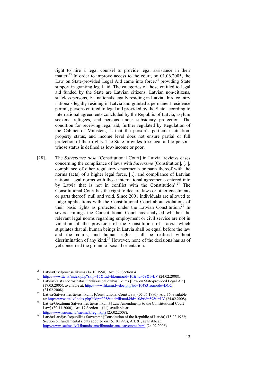right to hire a legal counsel to provide legal assistance in their matter.<sup>25</sup> In order to improve access to the court, on  $01.06.2005$ , the Law on State-provided Legal Aid came into force,  $26$  providing State support in granting legal aid. The categories of those entitled to legal aid funded by the State are Latvian citizens, Latvian non-citizens, stateless persons, EU nationals legally residing in Latvia, third country nationals legally residing in Latvia and granted a permanent residence permit, persons entitled to legal aid provided by the State according to international agreements concluded by the Republic of Latvia, asylum seekers, refugees, and persons under subsidiary protection. The condition for receiving legal aid, further regulated by Regulation of the Cabinet of Ministers, is that the person's particular situation, property status, and income level does not ensure partial or full protection of their rights. The State provides free legal aid to persons whose status is defined as low-income or poor.

[28]. The *Satversmes tiesa* [Constitutional Court] in Latvia 'reviews cases concerning the compliance of laws with *Satversme* [Constitution], [..], compliance of other regulatory enactments or parts thereof with the norms (acts) of a higher legal force, [..], and compliance of Latvian national legal norms with those international agreements entered into by Latvia that is not in conflict with the Constitution'.<sup>27</sup> The Constitutional Court has the right to declare laws or other enactments or parts thereof null and void. Since 2001 individuals are allowed to lodge applications with the Constitutional Court about violations of their basic rights as protected under the Latvian Constitution.<sup>28</sup> In several rulings the Constitutional Court has analysed whether the relevant legal norms regarding employment or civil service are not in violation of the provision of the Constitution of Latvia which stipulates that all human beings in Latvia shall be equal before the law and the courts, and human rights shall be realised without discrimination of any kind.<sup>29</sup> However, none of the decisions has as of yet concerned the ground of sexual orientation.

-

<sup>&</sup>lt;sup>25</sup> Latvia/Civilprocesa likums (14.10.1998), Art. 82. Section 4

http://www.ttc.lv/index.php?skip=15&itid=likumi&id=10&tid=59&l=LV (24.02.2008).<br>Latvia/Valsts nodrošinātās juridiskās palīdzības likums [Law on State-provided Legal Aid] (17.03.2005), available at: http://www.likumi.lv/doc.php?id=104831&mode=DOC

<sup>(24.02.2008). 27</sup> Latvia/Satversmes tiesas likums [Constitutional Court Law] (05.06.1996), Art. 16, available

at: http://www.ttc.lv/index.php?skip=225&itid=likumi&id=10&tid=59&l=LV (24.02.2008). 28 Latvia/Grozījumi Satversmes tiesas likumā [Law Amendments to the Constitutional Court Law] (30.11.2000), Art. 17 Section 1 (11), available at:

http://www.saeima.lv/saeima7/reg.likprj (25.02.2008).<br><sup>29</sup> Latvia/Latvijas Republikas Satversme [Constitution of the Republic of Latvia] (15.02.1922; Section on fundamental rights adopted on 15.10.1998), Art. 91, available at: http://www.saeima.lv/Likumdosana/likumdosana\_satversme.html (24.02.2008).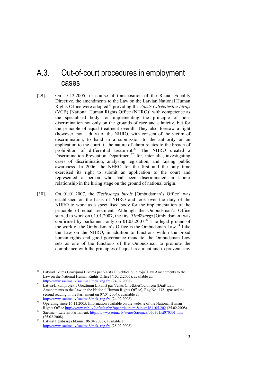### A.3. Out-of-court procedures in employment cases

- [29]. On 15.12.2005, in course of transposition of the Racial Equality Directive, the amendments to the Law on the Latvian National Human Rights Office were adopted<sup>30</sup> providing the *Valsts Cilvēktiesību birojs* (VCB) [National Human Rights Office (NHRO)] with competence as the specialised body for implementing the principle of nondiscrimination not only on the grounds of race and ethnicity, but for the principle of equal treatment overall. They also foresaw a right (however, not a duty) of the NHRO, with consent of the victim of discrimination, to hand in a submission to the authority or an application to the court, if the nature of claim relates to the breach of prohibition of differential treatment.<sup>31</sup> The NHRO created a Discrimination Prevention Department<sup>32</sup>, for, inter alia, investigating cases of discrimination, analysing legislation, and raising public awareness. In 2006, the NHRO for the first and the only time exercised its right to submit an application to the court and represented a person who had been discriminated in labour relationship in the hiring stage on the ground of national origin.
- [30]. On 01.01.2007, the *Tiesībsarga birojs* [Ombudsman's Office] was established on the basis of NHRO and took over the duty of the NHRO to work as a specialised body for the implementation of the principle of equal treatment. Although the Ombudsman's Office started to work on 01.01.2007, the first *Tiesībsargs* [Ombudsman] was confirmed by parliament only on 01.03.2007.<sup>33</sup> The legal ground of the work of the Ombudsman's Office is the Ombudsman Law.<sup>34</sup> Like the Law on the NHRO, in addition to functions within the broad human rights and good governance mandate, the Ombudsman Law sets as one of the functions of the Ombudsman to promote the compliance with the principles of equal treatment and to prevent any

-

<sup>&</sup>lt;sup>30</sup> Latvia/Likums Grozījumi Likumā par Valsts Cilvēktiesību biroju [Law Amendments to the Law on the National Human Rights Office] (15.12.2005), available at:

http://www.saeima.lv/saeima8/mek\_reg.fre (24.02.2008).<br>21 Latvia/Likumprojekts Grozījumi Likumā par Valsts Cilvēktiesību biroju [Draft Law Amendments to the Law on the National Human Rights Office], Reg.No. 1321 (passed the second reading in the Parliament on 07.04.2004), available at:

 $\frac{\text{http://www.saeima.lv/saeima/mek~reg.fre}}{\text{Operating since 16.11.2005}}$ . Information available on the website of the National Human Rights Office <u>http://www.vcb.lv/default.php?open=jaunumi&this=161105.202</u> (25.02.2008).<br>33 Saeima – Latvian Parliament, <u>http://www.saeima.lv/steno/Saeima9/070301/st070301.htm</u>

<sup>(</sup> $25.02.2008$ ).<br><sup>34</sup> Latvia/Tiesībsarga likums (06.04.2006), available at:

http://www.saeima.lv/saeima8/mek\_reg.fre (25.02.2008).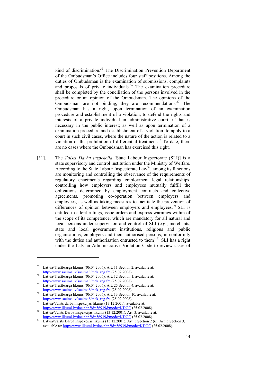kind of discrimination.<sup>35</sup> The Discrimination Prevention Department of the Ombudsman's Office includes four staff positions. Among the duties of Ombudsman is the examination of submissions, complaints and proposals of private individuals.<sup>36</sup> The examination procedure shall be completed by the conciliation of the persons involved in the procedure or an opinion of the Ombudsman. The opinions of the Ombudsman are not binding, they are recommendations.<sup>37</sup> The Ombudsman has a right, upon termination of an examination procedure and establishment of a violation, to defend the rights and interests of a private individual in administrative court, if that is necessary in the public interest; as well as upon termination of a examination procedure and establishment of a violation, to apply to a court in such civil cases, where the nature of the action is related to a violation of the prohibition of differential treatment.<sup>38</sup> To date, there are no cases where the Ombudsman has exercised this right.

[31]. The *Valsts Darba inspekcija* [State Labour Inspectorate (SLI)] is a state supervisory and control institution under the Ministry of Welfare. According to the State Labour Inspectorate  $Law<sup>39</sup>$ , among its functions are monitoring and controlling the observance of the requirements of regulatory enactments regarding employment legal relationships, controlling how employers and employees mutually fulfill the obligations determined by employment contracts and collective agreements, promoting co-operation between employers and employees, as well as taking measures to facilitate the prevention of differences of opinion between employers and employees.<sup>40</sup> SLI is entitled to adopt rulings, issue orders and express warnings within of the scope of its competence, which are mandatory for all natural and legal persons under supervision and control of SLI (e.g., merchants, state and local government institutions, religious and public organisations; employers and their authorised persons, in conformity with the duties and authorisation entrusted to them).<sup>41</sup> SLI has a right under the Latvian Administrative Violation Code to review cases of

Latvia/Tiesībsarga likums (06.04.2006), Art. 11 Section 2, available at:

http://www.saeima.lv/saeima8/mek\_reg.fre (25.02.2008).<br>Latvia/Tiesībsarga likums (06.04.2006), Art. 12 Section 1, available at:

http://www.saeima.lv/saeima8/mek\_reg.fre (25.02.2008).<br><sup>37</sup> Latvia/Tiesībsarga likums (06.04.2006), Art. 25 Section 4, available at: http://www.saeima.lv/saeima8/mek\_reg.fre (25.02.2008).<br>38 Latvia/Tiesībsarga likums (06.04.2006), Art. 13 Section 10, available at:

http://www.saeima.lv/saeima8/mek\_reg.fre (25.02.2008).<br><sup>39</sup> Latvia/Valsts darba inspekcijas likums (13.12.2001), available at:

http://www.likumi.lv/doc.php?id=56939&mode=KDOC (25.02.2008).<br>Latvia/Valsts Darba inspekcijas likums (13.12.2001), Art. 3, available at:<br>http://www.likumi.lv/doc.php?id=56939&mode=KDOC (25.02.2008).

http://www.likumi.lv/doc.php?id=56939&mode=KDOC (25.02.2008). 41 Latvia/Valsts Darba inspekcijas likums (13.12.2001), Art. 5 Section 2 (6), Art. 5 Section 3, available at: http://www.likumi.lv/doc.php?id=56939&mode=KDOC (25.02.2008).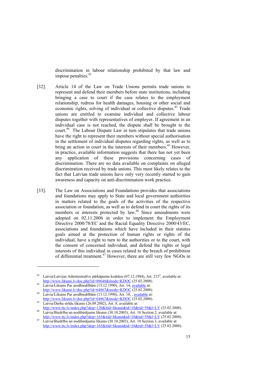discrimination in labour relationship prohibited by that law and impose penalties.<sup>42</sup>

- [32]. Article 14 of the Law on Trade Unions permits trade unions to represent and defend their members before state institutions, including bringing a case to court if the case relates to the employment relationship, redress for health damages, housing or other social and economic rights, solving of individual or collective disputes.<sup>43</sup> Trade unions are entitled to examine individual and collective labour disputes together with representatives of employer. If agreement in an individual case is not reached, the dispute shall be brought to the court.<sup>44</sup> The Labour Dispute Law in turn stipulates that trade unions have the right to represent their members without special authorisation in the settlement of individual disputes regarding rights, as well as to bring an action in court in the interests of their members.<sup>45</sup> However, in practice, available information suggests that there has not yet been any application of these provisions concerning cases of discrimination. There are no data available on complaints on alleged discrimination received by trade unions. This most likely relates to the fact that Latvian trade unions have only very recently started to gain awareness and capacity on anti-discrimination work practice.
- [33]. The Law on Associations and Foundations provides that associations and foundations may apply to State and local government authorities in matters related to the goals of the activities of the respective association or foundation, as well as to defend in court the rights of its members or interests protected by law.<sup>46</sup> Since amendments were adopted on 02.11.2006 in order to implement the Employment Directive 2000/78/EC and the Racial Equality Directive 2000/43/EC, associations and foundations which have included in their statutes goals aimed at the protection of human rights or rights of the individual, have a right to turn to the authorities or to the court, with the consent of concerned individual, and defend the rights or legal interests of this individual in cases related to the breach of prohibition of differential treatment.47 However, there are still very few NGOs in

<sup>&</sup>lt;sup>42</sup> Latvia/Latvijas Administratīvo pārkāpumu kodekss (07.12.1984), Art. 215<sup>3</sup>, available at: http://www.likumi.lv/doc.php?id=89648&mode=KDOC (25.02.2008). 43 Latvia/Likums Par arodbiedrībām (13.12.1990), Art. 14, available at:

http://www.likumi.lv/doc.php?id=64867&mode=KDOC (25.02.2008).<br>Latvia/Likums Par arodbiedrībām (13.12.1990), Art. 18, , <u>available</u> at:<br>http://www.likumi.lv/doc.php?id=64867&mode=KDOC (25.02.2008).

 $\frac{\text{m}_{\text{D}}}{\text{Lational Darba stridu}$  likums (26.09.2002), Art. 8, available at:

http://www.ttc.lv/index.php?skip=120&itid=likumi&id=10&tid=59&l=LV (25.02.2008). 46 Latvia/Biedrību un nodibinājumu likums (30.10.2003), Art. 10 Section 2, available at:

http://www.ttc.lv/index.php?skip=165&itid=likumi&id=10&tid=59&l=LV (25.02.2008).<br>47 Latvia/Biedrību un nodibinājumu likums (30.10.2003), Art. 10 Section 3, available at: http://www.ttc.lv/index.php?skip=165&itid=likumi&id=10&tid=59&l=LV (25.02.2008).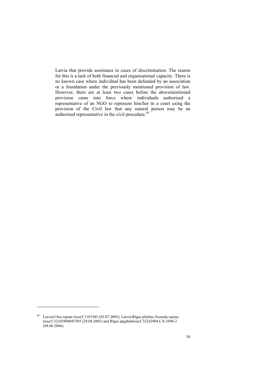Latvia that provide assistance in cases of discrimination. The reason for this is a lack of both financial and organisational capacity. There is no known case where individual has been defended by an association or a foundation under the previously mentioned provision of law. However, there are at least two cases before the abovementioned provision came into force where individuals authorised a representative of an NGO to represent him/her in a court using the provision of the Civil law that any natural person may be an  $a$ uthorised representative in the civil procedure.<sup>48</sup>

<sup>48</sup> Latvia/Cēsu rajona tiesa/C1101945 (05.07.2005); Latvia/Rīgas pilsētas Ziemeļu rajona tiesa/C32242904047505 (29.04.2005) and Rīgas apgabaltiesa/C32242904 CA-1096-2 (08.06.2006).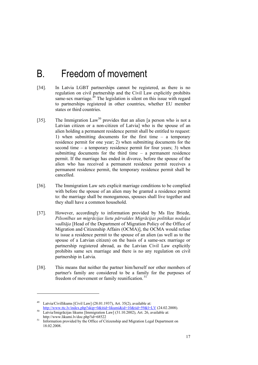## B. Freedom of movement

- [34]. In Latvia LGBT partnerships cannot be registered, as there is no regulation on civil partnership and the Civil Law explicitly prohibits same-sex marriage. $^{49}$  The legislation is silent on this issue with regard to partnerships registered in other countries, whether EU member states or third countries.
- [35]. The Immigration Law<sup>50</sup> provides that an alien [a person who is not a Latvian citizen or a non-citizen of Latvia] who is the spouse of an alien holding a permanent residence permit shall be entitled to request: 1) when submitting documents for the first time – a temporary residence permit for one year; 2) when submitting documents for the second time – a temporary residence permit for four years; 3) when submitting documents for the third time – a permanent residence permit. If the marriage has ended in divorce, before the spouse of the alien who has received a permanent residence permit receives a permanent residence permit, the temporary residence permit shall be cancelled.
- [36]. The Immigration Law sets explicit marriage conditions to be complied with before the spouse of an alien may be granted a residence permit to: the marriage shall be monogamous, spouses shall live together and they shall have a common household.
- [37]. However, accordingly to information provided by Ms Ilze Briede, *Pilsonības un migrācijas lietu pārvaldes Migrācijas politikas nodaļas vadītāja* [Head of the Department of Migration Policy of the Office of Migration and Citizenship Affairs (OCMA)], the OCMA would refuse to issue a residence permit to the spouse of an alien (as well as to the spouse of a Latvian citizen) on the basis of a same-sex marriage or partnership registered abroad, as the Latvian Civil Law explicitly prohibits same sex marriage and there is no any regulation on civil partnership in Latvia.
- [38]. This means that neither the partner him/herself nor other members of partner's family are considered to be a family for the purposes of freedom of movement or family reunification. 51

<sup>49</sup> Latvia/Civillikums [Civil Law] (28.01.1937), Art. 35(2), available at: http://www.ttc.lv/index.php?skip=0&itid=likumi&id=10&tid=59&l=LV (24.02.2008).<br>50 Latvia/Imigrācijas likums [Immigration Law] (31.10.2002), Art. 26, available at:

http://www.likumi.lv/doc.php?id=68522<br> $51$  Information massided by the Office of Gi

Information provided by the Office of Citizenship and Migration Legal Department on 18.02.2008.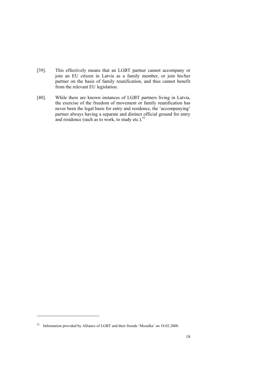- [39]. This effectively means that an LGBT partner cannot accompany or join an EU citizen in Latvia as a family member, or join his/her partner on the basis of family reunification, and thus cannot benefit from the relevant EU legislation.
- [40]. While there are known instances of LGBT partners living in Latvia, the exercise of the freedom of movement or family reunification has never been the legal basis for entry and residence, the 'accompanying' partner always having a separate and distinct official ground for entry and residence (such as to work, to study etc.). $52$

<sup>52</sup> Information provided by Alliance of LGBT and their friends 'Mozaīka' on 18.02.2008.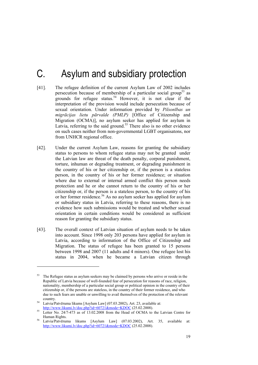## C. Asylum and subsidiary protection

- [41]. The refugee definition of the current Asylum Law of 2002 includes persecution because of membership of a particular social group<sup>53</sup> as grounds for refugee status.<sup>54</sup> However, it is not clear if the interpretation of the provision would include persecution because of sexual orientation. Under information provided by *Pilsonības un migrācijas lietu pārvalde (PMLP)* [Office of Citizenship and Migration (OCMA)], no asylum seeker has applied for asylum in Latvia, referring to the said ground.<sup>55</sup> There also is no other evidence on such cases neither from non-governmental LGBT organisatons, nor from UNHCR regional office.
- [42]. Under the current Asylum Law, reasons for granting the subsidiary status to persons to whom refugee status may not be granted under the Latvian law are threat of the death penalty, corporal punishment, torture, inhuman or degrading treatment, or degrading punishment in the country of his or her citizenship or, if the person is a stateless person, in the country of his or her former residence; or situation where due to external or internal armed conflict this person needs protection and he or she cannot return to the country of his or her citizenship or, if the person is a stateless person, to the country of his or her former residence.56 As no asylum seeker has applied for asylum or subsidiary status in Latvia, referring to these reasons, there is no evidence how such submissions would be treated and whether sexual orientation in certain conditions would be considered as sufficient reason for granting the subsidiary status.
- [43]. The overall context of Latvian situation of asylum needs to be taken into account. Since 1998 only 203 persons have applied for asylum in Latvia, according to information of the Office of Citizenship and Migration. The status of refugee has been granted to 15 persons between 1998 and 2007 (11 adults and 4 minors). One refugee lost his status in 2004, when he became a Latvian citizen through

<sup>&</sup>lt;sup>53</sup> The Refugee status as asylum seekers may be claimed by persons who arrive or reside in the Republic of Latvia because of well-founded fear of persecution for reasons of race, religion, nationality, membership of a particular social group or political opinion in the country of their citizenship or, if the persons are stateless, in the country of their former residence, and who due to such fears are unable or unwilling to avail themselves of the protection of the relevant country. 54 Latvia/Patvēruma likums [Asylum Law] (07.03.2002), Art. 23, available at:

http://www.likumi.lv/doc.php?id=60721&mode=KDOC (25.02.2008).<br>55 Letter No. 24/7-473 as of 13.02.2008 from the Head of OCMA to the Latvian Centre for Human Rights.<br>Latvia/Patvēruma likums [Asylum Law] (07.03.2002), Art. 35, available at:

http://www.likumi.lv/doc.php?id=60721&mode=KDOC (25.02.2008).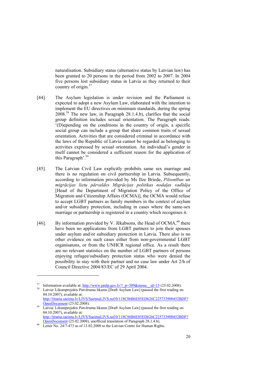naturalisation. Subsidiary status (alternative status by Latvian law) has been granted to 20 persons in the period from 2002 to 2007. In 2004 five persons lost subsidiary status in Latvia as they returned to their country of origin.<sup>57</sup>

- [44]. The Asylum legislation is under revision and the Parliament is expected to adopt a new Asylum Law, elaborated with the intention to implement the EU directives on minimum standards, during the spring 2008.58 The new law, in Paragraph 28.1.4.b), clarifies that the social group definition includes sexual orientation. The Paragraph reads: '(D)epending on the conditions in the country of origin, a specific social group can include a group that share common traits of sexual orientation. Activities that are considered criminal in accordance with the laws of the Republic of Latvia cannot be regarded as belonging to activities expressed by sexual orientation. An individual's gender in itself cannot be considered a sufficient reason for the application of this Paragraph'.59
- [45]. The Latvian Civil Law explicitly prohibits same sex marriage and there is no regulation on civil partnership in Latvia. Subsequently, according to information provided by Ms Ilze Briede, *Pilsonības un migrācijas lietu pārvaldes Migrācijas politikas nodaļas vadītāja*  [Head of the Department of Migration Policy of the Office of Migration and Citizenship Affairs (OCMA)], the OCMA would refuse to accept LGBT partners as family members in the context of asylum and/or subsidiary protection, including in cases where the same-sex marriage or partnership is registered in a country which recognises it.
- [46]. By information provided by V. Jēkabsons, the Head of OCMA,  $^{60}$  there have been no applications from LGBT partners to join their spouses under asylum and/or subsidiary protection in Latvia. There also is no other evidence on such cases either from non-governmental LGBT organisatons, or from the UNHCR regional office. As a result there are no relevant statistics on the number of LGBT partners of persons enjoying refugee/subsidiary protection status who were denied the possibility to stay with their partner and no case law under Art 2/h of Council Directive 2004/83/EC of 29 April 2004.

-

<sup>&</sup>lt;sup>57</sup> Information available at: <u>http://www.pmlp.gov.lv/? p=309&menu\_id=15</u> (25.02.2008).<br><sup>58</sup> Latvia/ Likumprojekts Patvēruma likums [Draft Asylum Law] (passed the first reading on

<sup>04.10.2007),</sup> available at: http://titania.saeima.lv/LIVS/SaeimaLIVS.nsf/0/118C86B6E85ED626C225733900452BDF?<br>OpenDocument (25.02.2008).

 $\frac{1}{25}$  Latvia/ Likumprojekts Patvēruma likums [Draft Asylum Law] (passed the first reading on 04.10.2007), available at: http://titania.saeima.lv/LIVS/SaeimaLIVS.nsf/0/118C86B6E85ED626C225733900452BDF?<br>OpenDocument (25.02.2008), unofficial translation of Paragraph 28.1.4.b).

 $\frac{60}{\text{Letter No. 24/7-473}}$  as of 13.02.2008 to the Latvian Centre for Human Rights.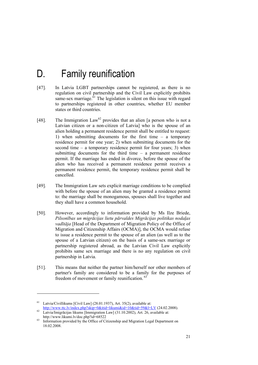## D. Family reunification

- [47]. In Latvia LGBT partnerships cannot be registered, as there is no regulation on civil partnership and the Civil Law explicitly prohibits same-sex marriage. ${}^{61}$  The legislation is silent on this issue with regard to partnerships registered in other countries, whether EU member states or third countries.
- [48]. The Immigration Law<sup>62</sup> provides that an alien [a person who is not a Latvian citizen or a non-citizen of Latvia] who is the spouse of an alien holding a permanent residence permit shall be entitled to request: 1) when submitting documents for the first time – a temporary residence permit for one year; 2) when submitting documents for the second time – a temporary residence permit for four years; 3) when submitting documents for the third time – a permanent residence permit. If the marriage has ended in divorce, before the spouse of the alien who has received a permanent residence permit receives a permanent residence permit, the temporary residence permit shall be cancelled.
- [49]. The Immigration Law sets explicit marriage conditions to be complied with before the spouse of an alien may be granted a residence permit to: the marriage shall be monogamous, spouses shall live together and they shall have a common household.
- [50]. However, accordingly to information provided by Ms Ilze Briede, *Pilsonības un migrācijas lietu pārvaldes Migrācijas politikas nodaļas vadītāja* [Head of the Department of Migration Policy of the Office of Migration and Citizenship Affairs (OCMA)], the OCMA would refuse to issue a residence permit to the spouse of an alien (as well as to the spouse of a Latvian citizen) on the basis of a same-sex marriage or partnership registered abroad, as the Latvian Civil Law explicitly prohibits same sex marriage and there is no any regulation on civil partnership in Latvia.
- [51]. This means that neither the partner him/herself nor other members of partner's family are considered to be a family for the purposes of freedom of movement or family reunification. 63

 $61$  Latvia/Civillikums [Civil Law] (28.01.1937), Art. 35(2), available at: http://www.ttc.lv/index.php?skip=0&itid=likumi&id=10&tid=59&l=LV (24.02.2008). 62 Latvia/Imigrācijas likums [Immigration Law] (31.10.2002), Art. 26, available at:

http://www.likumi.lv/doc.php?id=68522

Information provided by the Office of Citizenship and Migration Legal Department on 18.02.2008.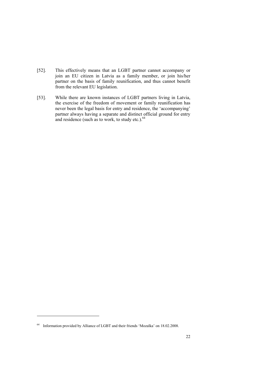- [52]. This effectively means that an LGBT partner cannot accompany or join an EU citizen in Latvia as a family member, or join his/her partner on the basis of family reunification, and thus cannot benefit from the relevant EU legislation.
- [53]. While there are known instances of LGBT partners living in Latvia, the exercise of the freedom of movement or family reunification has never been the legal basis for entry and residence, the 'accompanying' partner always having a separate and distinct official ground for entry and residence (such as to work, to study etc.). $64$

<sup>64</sup> Information provided by Alliance of LGBT and their friends 'Mozaīka' on 18.02.2008.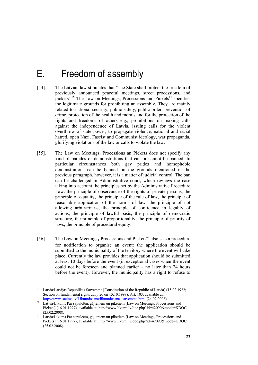## E. Freedom of assembly

- [54]. The Latvian law stipulates that 'The State shall protect the freedom of previously announced peaceful meetings, street processions, and pickets'. $65$  The Law on Meetings, Processions and Pickets<sup>66</sup> specifies the legitimate grounds for prohibiting an assembly. They are mainly related to national security, public safety, public order, prevention of crime, protection of the health and morals and for the protection of the rights and freedoms of others e.g., prohibitions on making calls against the independence of Latvia, issuing calls for the violent overthrow of state power, to propagate violence, national and racial hatred, open Nazi, Fascist and Communist ideology, war propaganda, glorifying violations of the law or calls to violate the law.
- [55]. The Law on Meetings, Processions an Pickets does not specify any kind of parades or demonstrations that can or cannot be banned. In particular circumstances both gay prides and homophobic demonstrations can be banned on the grounds mentioned in the previous paragraph, however, it is a matter of judicial control. The ban can be challenged in Administrative court, which reviews the case taking into account the principles set by the Administrative Procedure Law: the principle of observance of the rights of private persons, the principle of equality, the principle of the rule of law, the principle of reasonable application of the norms of law, the principle of not allowing arbitrariness, the principle of confidence in legality of actions, the principle of lawful basis, the principle of democratic structure, the principle of proportionality, the principle of priority of laws, the principle of procedural equity.
- [56]. The Law on Meetings, Processions and Pickets<sup>67</sup> also sets a procedure for notification to organise an event: the application should be submitted to the municipality of the territory where the event will take place. Currently the law provides that application should be submitted at least 10 days before the event (in exceptional cases when the event could not be foreseen and planned earlier – no later than 24 hours before the event). However, the municipality has a right to refuse to

<sup>65</sup> Latvia/Latvijas Republikas Satversme [Constitution of the Republic of Latvia] (15.02.1922; Section on fundamental rights adopted on 15.10.1998), Art. 103, available at:

http://www.saeima.lv/Likumdosana/likumdosana\_satversme.html (24.02.2008).<br><sup>66</sup> Latvia/Likums Par sapulcēm, gājieniem un piketiem [Law on Meetings, Processions and Pickets] (16.01.1997), available at: http://www.likumi.lv/doc.php?id=42090&mode=KDOC

<sup>(25.02.2008). 67</sup> Latvia/Likums Par sapulcēm, gājieniem un piketiem [Law on Meetings, Processions and Pickets] (16.01.1997), available at: http://www.likumi.lv/doc.php?id=42090&mode=KDOC (25.02.2008).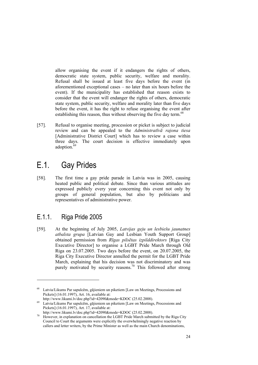allow organising the event if it endangers the rights of others, democratic state system, public security, welfare and morality. Refusal shall be issued at least five days before the event (in aforementioned exceptional cases – no later than six hours before the event). If the municipality has established that reason exists to consider that the event will endanger the rights of others, democratic state system, public security, welfare and morality later than five days before the event, it has the right to refuse organising the event after establishing this reason, thus without observing the five day term.<sup>68</sup>

[57]. Refusal to organise meeting, procession or picket is subject to judicial review and can be appealed to the *Administratīvā rajona tiesa* [Administrative District Court] which has to review a case within three days. The court decision is effective immediately upon adoption.<sup>6</sup>

## E.1. Gay Prides

[58]. The first time a gay pride parade in Latvia was in 2005, causing heated public and political debate. Since than various attitudes are expressed publicly every year concerning this event not only by groups of general population, but also by politicians and representatives of administrative power.

### E.1.1. Riga Pride 2005

1

[59]. At the beginning of July 2005, *Latvijas geju un lesbiešu jaunatnes atbalsta grupa* [Latvian Gay and Lesbian Youth Support Group] obtained permission from *Rīgas pilsētas izpilddirektors* [Riga City Executive Director] to organise a LGBT Pride March through Old Riga on 23.07.2005. Two days before the event, on 20.07.2005, the Riga City Executive Director annulled the permit for the LGBT Pride March, explaining that his decision was not discriminatory and was purely motivated by security reasons.<sup>70</sup> This followed after strong

<sup>68</sup> Latvia/Likums Par sapulcēm, gājieniem un piketiem [Law on Meetings, Processions and Pickets] (16.01.1997), Art. 16, available at:

http://www.likumi.lv/doc.php?id=42090&mode=KDOC (25.02.2008). 69 Latvia/Likums Par sapulcēm, gājieniem un piketiem [Law on Meetings, Processions and Pickets] (16.01.1997), Art. 17, available at:

http://www.likumi.lv/doc.php?id=42090&mode=KDOC (25.02.2008).<br><sup>70</sup> However, in explanation on cancellation the LGBT Pride March submitted by the Riga City Council to Court the arguments were explicitly the overwhelmingly negative reaction by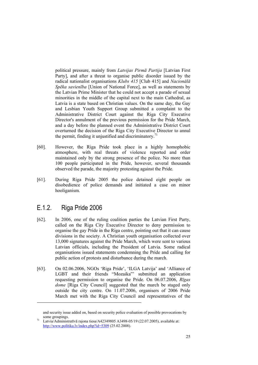political pressure, mainly from *Latvijas Pirmā Partija* [Latvian First Party], and after a threat to organise public disorder issued by the radical nationalist organisations *Klubs 415* [Club 415] and *Nacionālā Spēka savienība* [Union of National Force], as well as statements by the Latvian Prime Minister that he could not accept a parade of sexual minorities in the middle of the capital next to the main Cathedral, as Latvia is a state based on Christian values. On the same day, the Gay and Lesbian Youth Support Group submitted a complaint to the Administrative District Court against the Riga City Executive Director's annulment of the previous permission for the Pride March, and a day before the planned event the Administrative District Court overturned the decision of the Riga City Executive Director to annul the permit, finding it unjustified and discriminatory. $71$ 

- [60]. However, the Riga Pride took place in a highly homophobic atmosphere, with real threats of violence reported and order maintained only by the strong presence of the police. No more than 100 people participated in the Pride, however, several thousands observed the parade, the majority protesting against the Pride.
- [61]. During Riga Pride 2005 the police detained eight people on disobedience of police demands and initiated a case on minor hooliganism.

### E.1.2. Riga Pride 2006

- [62]. In 2006, one of the ruling coalition parties the Latvian First Party, called on the Riga City Executive Director to deny permission to organise the gay Pride in the Riga centre, pointing out that it can cause divisions in the society. A Christian youth organisation collected over 13,000 signatures against the Pride March, which were sent to various Latvian officials, including the President of Latvia. Some radical organisations issued statements condemning the Pride and calling for public action of protests and disturbance during the march.
- [63]. On 02.06.2006, NGOs 'Riga Pride', 'ILGA Latvija' and 'Alliance of LGBT and their friends "Mozaika"' submitted an application requesting permission to organise the Pride. On 06.07.2006, *Rīgas dome* [Riga City Council] suggested that the march be staged only outside the city centre. On 11.07.2006, organisers of 2006 Pride March met with the Riga City Council and representatives of the

and security issue added on, based on security police evaluation of possible provocations by some groupings.<br>11 Latvia/Administratīvā rajona tiesa/A42349805 A3498-05/19 (22.07.2005), available at:

http://www.politika.lv/index.php?id=5309 (25.02.2008).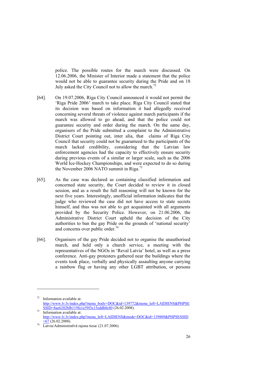police. The possible routes for the march were discussed. On 12.06.2006, the Minister of Interior made a statement that the police would not be able to guarantee security during the Pride and on 18 July asked the City Council not to allow the march.<sup>72</sup>

- [64]. On 19.07.2006, Riga City Council announced it would not permit the 'Riga Pride 2006' march to take place. Riga City Council stated that its decision was based on information it had allegedly received concerning several threats of violence against march participants if the march was allowed to go ahead, and that the police could not guarantee security and order during the march. On the same day, organisers of the Pride submitted a complaint to the Administrative District Court pointing out, inter alia, that claims of Riga City Council that security could not be guaranteed to the participants of the march lacked credibility, considering that the Latvian law enforcement agencies had the capacity to effectively ensure security during previous events of a similar or larger scale, such as the 2006 World Ice-Hockey Championships, and were expected to do so during the November 2006 NATO summit in Riga.<sup>73</sup>
- [65]. As the case was declared as containing classified information and concerned state security, the Court decided to review it in closed session, and as a result the full reasoning will not be known for the next five years. Interestingly, unofficial information indicates that the judge who reviewed the case did not have access to state secrets himself, and thus was not able to get acquainted with all arguments provided by the Security Police. However, on 21.06.2006, the Administrative District Court upheld the decision of the City authorities to ban the gay Pride on the grounds of 'national security' and concerns over public order.<sup>74</sup>
- [66]. Organisers of the gay Pride decided not to organise the unauthorised march, and held only a church service, a meeting with the representatives of the NGOs in 'Reval Latvia' hotel, as well as a press conference. Anti-gay protesters gathered near the buildings where the events took place, verbally and physically assaulting anyone carrying a rainbow flag or having any other LGBT attribution, or persons

<sup>72</sup> Information available at: http://www.lv.lv/index.php?menu\_body=DOC&id=139772&menu\_left=LAIDIENS&PHPSE

 $\frac{\text{SSID}=8a\text{e}6202\text{b}119\text{f}e1\text{e}59\text{f}3\text{e}1\text{Seddb}0\text{c}80}{\text{Information available at:}}$ http://www.lv.lv/index.php?menu\_left=LAIDIENS&mode=DOC&id=139809&PHPSESSID  $\frac{67}{14}$   $\frac{-67}{\text{Latvia}}$ /Administratīvā rajona tiesa/ (21.07.2006).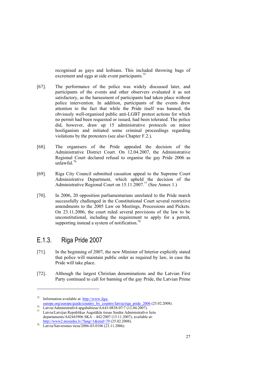recognised as gays and lesbians. This included throwing bags of excrement and eggs at side event participants.<sup>75</sup>

- [67]. The performance of the police was widely discussed later, and participants of the events and other observers evaluated it as not satisfactory, as the harassment of participants had taken place without police intervention. In addition, participants of the events drew attention to the fact that while the Pride itself was banned, the obviously well-organised public anti-LGBT protest actions for which no permit had been requested or issued, had been tolerated. The police did, however, draw up 15 administrative protocols on minor hooliganism and initiated some criminal proceedings regarding violations by the protesters (see also Chapter F.2.).
- [68]. The organisers of the Pride appealed the decision of the Administrative District Court. On 12.04.2007, the Administrative Regional Court declared refusal to organise the gay Pride 2006 as unlawful.76
- [69]. Riga City Council submitted cassation appeal to the Supreme Court Administrative Department, which upheld the decision of the Administrative Regional Court on  $15.11.2007$ .<sup>77</sup> (See Annex 1.)
- [70]. In 2006, 20 opposition parliamentarians unrelated to the Pride march successfully challenged in the Constitutional Court several restrictive amendments to the 2005 Law on Meetings, Processions and Pickets. On 23.11.2006, the court ruled several provisions of the law to be unconstitutional, including the requirement to apply for a permit, supporting instead a system of notification.<sup>78</sup>

#### E.1.3. Riga Pride 2007

- [71]. In the beginning of 2007, the new Minister of Interior explicitly stated that police will maintain public order as required by law, in case the Pride will take place.
- [72]. Although the largest Christian denominations and the Latvian First Party continued to call for banning of the gay Pride, the Latvian Prime

<sup>&</sup>lt;sup>75</sup> Information available at:  $\frac{http://www.ilga-  
europe.org/europe/guide/country by country/latvia/riga pride 2006 (25.02.2008).$ 

europe.org/europe/guide/country\_by\_country/latvia/riga\_pride\_2006 (25.02.2008). 76 Latvia/Administratīvā apgabaltiesa/AA43-0838-07/7 (12.04.2007). 77 Latvia/Latvijas Republikas Augstākās tiesas Senāta Administratīvo lietu departaments/A42443906 SKA – 442/2007 (15.11.2007), available at:

http://www2.mozaika.lv/?lang=1&mid=79 (25.02.2008).<br>Latvia/Satversmes tiesa/2006-03-0106 (23.11.2006).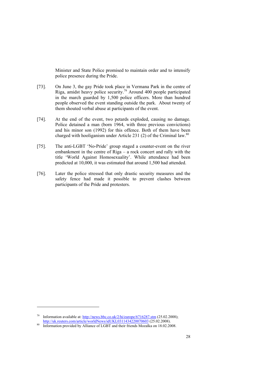Minister and State Police promised to maintain order and to intensify police presence during the Pride.

- [73]. On June 3, the gay Pride took place in Vermana Park in the centre of Riga, amidst heavy police security.79 Around 400 people participated in the march guarded by 1,500 police officers. More than hundred people observed the event standing outside the park. About twenty of them shouted verbal abuse at participants of the event.
- [74]. At the end of the event, two petards exploded, causing no damage. Police detained a man (born 1964, with three previous convictions) and his minor son (1992) for this offence. Both of them have been charged with hooliganism under Article 231 (2) of the Criminal law.<sup>80</sup>
- [75]. The anti-LGBT 'No-Pride' group staged a counter-event on the river embankment in the centre of Riga – a rock concert and rally with the title 'World Against Homosexuality'. While attendance had been predicted at 10,000, it was estimated that around 1,500 had attended.
- [76]. Later the police stressed that only drastic security measures and the safety fence had made it possible to prevent clashes between participants of the Pride and protesters.

<sup>&</sup>lt;sup>79</sup> Information available at: http://news.bbc.co.uk/2/hi/europe/6716287.stm (25.02.2008); http://uk.reuters.com/article/worldNews/idUKL0311434220070603 (25.02.2008).<br><sup>80</sup> Information provided by Alliance of LGBT and their friends Mozaīka on 18.02.2008.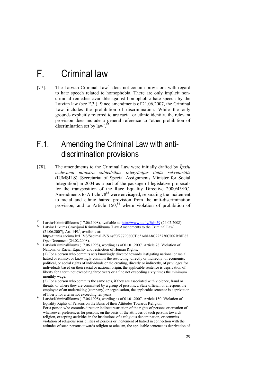## F. Criminal law

1

[77]. The Latvian Criminal Law<sup>81</sup> does not contain provisions with regard to hate speech related to homophobia. There are only implicit noncriminal remedies available against homophobic hate speech by the Latvian law (see F.3.). Since amendments of 21.06.2007, the Criminal Law includes the prohibition of discrimination. While the only grounds explicitly referred to are racial or ethnic identity, the relevant provision does include a general reference to 'other prohibition of discrimination set by law'. $82$ 

### F.1. Amending the Criminal Law with antidiscrimination provisions

[78]. The amendments to the Criminal Law were initially drafted by *Īpašu uzdevumu ministra sabiedrības integrācijas lietās sekretariāts* (IUMSILS) [Secretariat of Special Assignments Minister for Social Integration] in 2004 as a part of the package of legislative proposals for the transposition of the Race Equality Directive 2000/43/EC. Amendments to Article  $78^{83}$  were envisaged, separating the incitement to racial and ethnic hatred provision from the anti-discrimination provision, and to Article  $150^{84}$ , where violation of prohibition of

<sup>&</sup>lt;sup>81</sup> Latvia/Krimināllikums (17.06.1998), available at:  $\frac{http://www.ttc.lv?id=59}{http://www.ttc.lv?id=59}$  (24.02.2008).<br><sup>82</sup> Latvia/ Likums Grozījumi Krimināllikumā [Law Amendments to the Criminal Law]

 $(21.06.2007)$ , Art. 149.<sup>1</sup>, available at:

http://titania.saeima.lv/LIVS/SaeimaLIVS.nsf/0/2779080CB65A88A8C225730C002B58E8?

OpenDocument (24.02.2008). 83 Latvia/Krimināllikums (17.06.1998), wording as of 01.01.2007. Article 78. Violation of National or Racial Equality and restriction of Human Rights.

 <sup>(1)</sup> For a person who commits acts knowingly directed towards instigating national or racial hatred or enmity, or knowingly commits the restricting, directly or indirectly, of economic, political, or social rights of individuals or the creating, directly or indirectly, of privileges for individuals based on their racial or national origin, the applicable sentence is deprivation of liberty for a term not exceeding three years or a fine not exceeding sixty times the minimum monthly wage.

 <sup>(2)</sup> For a person who commits the same acts, if they are associated with violence, fraud or threats, or where they are committed by a group of persons, a State official, or a responsible employee of an undertaking (company) or organisation, the applicable sentence is deprivation of liberty for a term not exceeding ten years. 84 Latvia/Krimināllikums (17.06.1998), wording as of 01.01.2007. Article 150. Violation of

Equality Rights of Persons on the Basis of their Attitudes Towards Religion. For a person who commits direct or indirect restriction of the rights of persons or creation of whatsoever preferences for persons, on the basis of the attitudes of such persons towards religion, excepting activities in the institutions of a religious denomination, or commits violation of religious sensibilities of persons or incitement of hatred in connection with the attitudes of such persons towards religion or atheism, the applicable sentence is deprivation of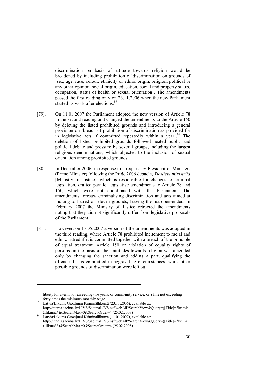discrimination on basis of attitude towards religion would be broadened by including prohibition of discrimination on grounds of 'sex, age, race, colour, ethnicity or ethnic origin, religion, political or any other opinion, social origin, education, social and property status, occupation, status of health or sexual orientation'. The amendments passed the first reading only on 23.11.2006 when the new Parliament started its work after elections.<sup>85</sup>

- [79]. On 11.01.2007 the Parliament adopted the new version of Article 78 in the second reading and changed the amendments to the Article 150 by deleting the listed prohibited grounds and introducing a general provision on 'breach of prohibition of discrimination as provided for in legislative acts if committed repeatedly within a year'. $86$  The deletion of listed prohibited grounds followed heated public and political debate and pressure by several groups, including the largest religious denominations, which objected to the inclusion of sexual orientation among prohibited grounds.
- [80]. In December 2006, in response to a request by President of Ministers (Prime Minister) following the Pride 2006 debacle, *Tieslietu ministrija* [Ministry of Justice], which is responsible for changes to criminal legislation, drafted parallel legislative amendments to Article 78 and 150, which were not coordinated with the Parliament. The amendments foresaw criminalising discrimination and acts aimed at inciting to hatred on eleven grounds, leaving the list open-ended. In February 2007 the Ministry of Justice retracted the amendments noting that they did not significantly differ from legislative proposals of the Parliament.
- [81]. However, on 17.05.2007 a version of the amendments was adopted in the third reading, where Article 78 prohibited incitement to racial and ethnic hatred if it is committed together with a breach of the principle of equal treatment. Article 150 on violation of equality rights of persons on the basis of their attitudes towards religion was amended only by changing the sanction and adding a part, qualifying the offence if it is committed in aggravating circumstances, while other possible grounds of discrimination were left out.

liberty for a term not exceeding two years, or community service, or a fine not exceeding

forty times the minimum monthly wage. 85 Latvia/Likums Grozījumi Krimināllikumā (23.11.2006), available at: http://titania.saeima.lv/LIVS/SaeimaLIVS.nsf/webAll?SearchView&Query=([Title]=\*krimin

âllikumâ\*)&SearchMax=0&SearchOrder=4 (25.02.2008) 86 Latvia/Likums Grozījumi Krimināllikumā (11.01.2007), available at: http://titania.saeima.lv/LIVS/SaeimaLIVS.nsf/webAll?SearchView&Query=([Title]=\*krimin âllikumâ\*)&SearchMax=0&SearchOrder=4 (25.02.2008).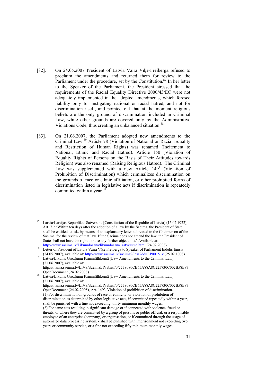- [82]. On 24.05.2007 President of Latvia Vaira Vīķe-Freiberga refused to proclaim the amendments and returned them for review to the Parliament under the procedure, set by the Constitution.<sup>87</sup> In her letter to the Speaker of the Parliament, the President stressed that the requirements of the Racial Equality Directive 2000/43/EC were not adequately implemented in the adopted amendments, which foresee liability only for instigating national or racial hatred, and not for discrimination itself, and pointed out that at the moment religious beliefs are the only ground of discrimination included in Criminal Law, while other grounds are covered only by the Administrative Violations Code, thus creating an unbalanced situation.<sup>88</sup>
- [83]. On 21.06.2007, the Parliament adopted new amendments to the Criminal Law.<sup>89</sup> Article 78 (Violation of National or Racial Equality and Restriction of Human Rights) was renamed (Incitement to National, Ethnic and Racial Hatred). Article 150 (Violation of Equality Rights of Persons on the Basis of Their Attitudes towards Religion) was also renamed (Raising Religious Hatred). The Criminal Law was supplemented with a new Article  $149^1$  (Violation of Prohibition of Discrimination) which criminalizes discrimination on the grounds of race or ethnic affiliation, or other prohibited forms of discrimination listed in legislative acts if discrimination is repeatedly committed within a year. $90$

 $87$  Latvia/Latvijas Republikas Satversme [Constitution of the Republic of Latvia] (15.02.1922), Art. 71: 'Within ten days after the adoption of a law by the Saeima, the President of State shall be entitled to ask, by means of an explanatory letter addressed to the Chairperson of the Saeima, for the review of that law. If the Saeima does not amend the law, the President of State shall not have the right to raise any further objections.' Available at:<br>http://www.saeima.lv/Likumdosana/likumdosana\_satversme.html (24.02.2008).

<sup>88</sup> Letter of President of Latvia Vaira Vīke Freiberga to Speaker of Parliament Indulis Emsis

<sup>(24.05.2007),</sup> available at: http://www.saeima.lv/saeima9/lasa?dd=LP0015\_v (25.02.1008).<br><sup>89</sup> Latvia/Likums Grozījumi Krimināllikumā [Law Amendments to the Criminal Law] (21.06.2007), available at: http://titania.saeima.lv/LIVS/SaeimaLIVS.nsf/0/2779080CB65A88A8C225730C002B58E8?

OpenDocument (24.02.2008).<br>Latvia/Likums Grozījumi Krimināllikumā [Law Amendments to the Criminal Law] (21.06.2007), available at: http://titania.saeima.lv/LIVS/SaeimaLIVS.nsf/0/2779080CB65A88A8C225730C002B58E8? OpenDocument (24.02.2008), Art.  $149<sup>1</sup>$ . Violation of prohibition of discrimination. (1) For discrimination on grounds of race or ethnicity, or violation of prohibition of discrimination as determined by other legislative acts, if committed repeatedly within a year, shall be punished with a fine not exceeding thirty minimum monthly wages. (2) For same acts resulting in significant damage or if connected with violence, fraud or

threats, or where they are committed by a group of persons or public official, or a responsible employee of an enterprise (company) or organisation, or if committed through the usage of automated data processing system, - shall be punished with imprisonment not exceeding two years or community service, or a fine not exceeding fifty minimum monthly wages.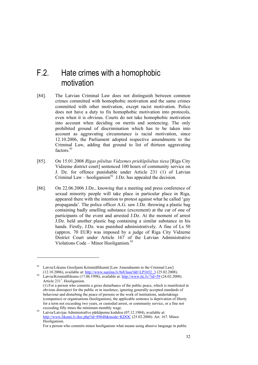### F.2. Hate crimes with a homophobic motivation

- [84]. The Latvian Criminal Law does not distinguish between common crimes committed with homophobic motivation and the same crimes committed with other motivation, except racist motivation. Police does not have a duty to fix homophobic motivation into protocols, even when it is obvious. Courts do not take homophobic motivation into account when deciding on merits and sentencing. The only prohibited ground of discrimination which has to be taken into account as aggravating circumstance is racial motivation, since 12.10.2006, the Parliament adopted respective amendments to the Criminal Law, adding that ground to list of thirteen aggravating factors<sup>91</sup>
- [85]. On 15.01.2008 *Rīgas pilsētas Vidzemes priekšpilsētas tiesa* [Riga City Vidzeme district court] sentenced 100 hours of community service on J. Dz. for offence punishable under Article 231 (1) of Latvian Criminal Law – hooliganism<sup>92</sup> J.Dz. has appealed the decision.
- [86]. On 22.06.2006 J.Dz., knowing that a meeting and press conference of sexual minority people will take place in particular place in Riga, appeared there with the intention to protest against what he called 'gay propaganda'. The police officer A.G. saw J.Dz. throwing a plastic bag containing badly smelling substance (excrement) at the car of one of participants of the event and arrested J.Dz. At the moment of arrest J.Dz. held another plastic bag containing a similar substance in his hands. Firstly, J.Dz. was punished administratively. A fine of Ls 50 (approx. 70 EUR) was imposed by a judge of Riga City Vidzeme District Court under Article 167 of the Latvian Administrative Violations Code – Minor Hooliganism. $93$

Latvia/Likums Grozījumi Krimināllikumā [Law Amendments to the Criminal Law]

<sup>(12.10.2006),</sup> available at: http://www.saeima.lv/bi8/lasa?dd=LP1652\_3 (25.02.2008). Latvia/Krimināllikums (17.06.1998), available at: http://www.ttc.lv/?id=59 (24.02.2008). Article  $231<sup>1</sup>$ . Hooliganism.

 <sup>(1)</sup> For a person who commits a gross disturbance of the public peace, which is manifested in obvious disrespect for the public or in insolence, ignoring generally accepted standards of behaviour and disturbing the peace of persons or the work of institutions, undertakings (companies) or organisations (hooliganism), the applicable sentence is deprivation of liberty for a term not exceeding two years, or custodial arrest, or community service, or a fine not exceeding fifty times the minimum monthly wage.<br><sup>93</sup> Latvia/Latvijas Administratīvo pārkāpumu kodekss (07.12.1984), available at:

http://www.likumi.lv/doc.php?id=89648&mode=KDOC (25.02.2008). Art. 167. Minor Hooliganism.

For a person who commits minor hooliganism what means using abusive language in public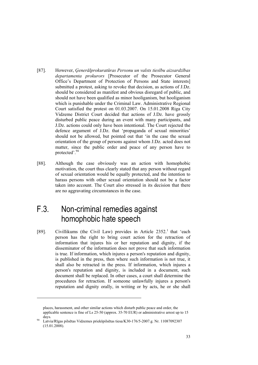- [87]. However, *Ģenerālprokuratūras Personu un valsts tiesību aizsardzības departamenta prokurors* [Prosecutor of the Prosecutor General Office's Department of Protection of Persons and State interests] submitted a protest, asking to revoke that decision, as actions of J.Dz. should be considered as manifest and obvious disregard of public, and should not have been qualified as minor hooliganism, but hooliganism which is punishable under the Criminal Law. Administrative Regional Court satisfied the protest on 01.03.2007. On 15.01.2008 Riga City Vidzeme District Court decided that actions of J.Dz. have grossly disturbed public peace during an event with many participants, and J.Dz. actions could only have been intentional. The Court rejected the defence argument of J.Dz. that 'propaganda of sexual minorities' should not be allowed, but pointed out that 'in the case the sexual orientation of the group of persons against whom J.Dz. acted does not matter, since the public order and peace of any person have to protected'.94
- [88]. Although the case obviously was an action with homophobic motivation, the court thus clearly stated that any person without regard of sexual orientation would be equally protected, and the intention to harass persons with other sexual orientation should not be a factor taken into account. The Court also stressed in its decision that there are no aggravating circumstances in the case.

### F.3. Non-criminal remedies against homophobic hate speech

-

[89]. Civillikums (the Civil Law) provides in Article 2352.<sup>1</sup> that 'each person has the right to bring court action for the retraction of information that injures his or her reputation and dignity, if the disseminator of the information does not prove that such information is true. If information, which injures a person's reputation and dignity, is published in the press, then where such information is not true, it shall also be retracted in the press. If information, which injures a person's reputation and dignity, is included in a document, such document shall be replaced. In other cases, a court shall determine the procedures for retraction. If someone unlawfully injures a person's reputation and dignity orally, in writing or by acts, he or she shall

places, harassment, and other similar actions which disturb public peace and order, the applicable sentence is fine of Ls 25-50 (approx. 35-70 EUR) or administrative arrest up to 15 days.<br>14 Latvia/Rīgas pilsētas Vidzemes priekšpilsētas tiesa/K30-176/5-2007.g. Nr. 11087092307

<sup>(15.01.2008).</sup>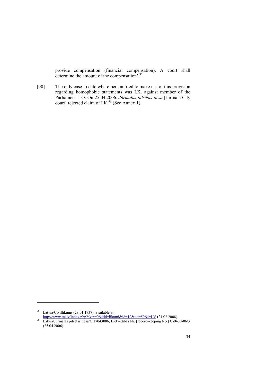provide compensation (financial compensation). A court shall determine the amount of the compensation'.<sup>95</sup>

[90]. The only case to date where person tried to make use of this provision regarding homophobic statements was I.K. against member of the Parliament L.O. On 25.04.2006. *Jūrmalas pilsētas tiesa* [Jurmala City court] rejected claim of I.K.<sup>96</sup> (See Annex 1).

<sup>&</sup>lt;sup>95</sup> Latvia/Civillikums (28.01.1937), available at:<br>
<u>http://www.ttc.lv/index.php?skip=0&itid=likumi&id=10&tid=59&l=LV</u> (24.02.2008).

<sup>&</sup>lt;sup>96</sup> Latvia/Jūrmalas pilsētas tiesa/C 17043006, Lietvedības Nr. [record-keeping No.] C-0430-06/3 (25.04.2006).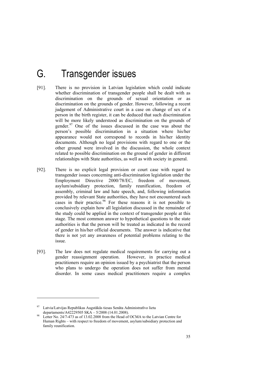## G. Transgender issues

- [91]. There is no provision in Latvian legislation which could indicate whether discrimination of transgender people shall be dealt with as discrimination on the grounds of sexual orientation or as discrimination on the grounds of gender. However, following a recent judgement of Administrative court in a case on change of sex of a person in the birth register, it can be deduced that such discrimination will be more likely understood as discrimination on the grounds of gender.<sup>97</sup> One of the issues discussed in the case was about the person's possible discrimination in a situation where his/her appearance would not correspond to records in his/her identity documents. Although no legal provisions with regard to one or the other ground were involved in the discussion, the whole context related to possible discrimination on the ground of gender in different relationships with State authorities, as well as with society in general.
- [92]. There is no explicit legal provision or court case with regard to transgender issues concerning anti-discrimination legislation under the Employment Directive 2000/78/EC, freedom of movement, asylum/subsidiary protection, family reunification, freedom of assembly, criminal law and hate speech, and, following information provided by relevant State authorities, they have not encountered such cases in their practice.<sup>98</sup> For these reasons it is not possible to conclusively explain how all legislation discussed in the remainder of the study could be applied in the context of transgender people at this stage. The most common answer to hypothetical questions to the state authorities is that the person will be treated as indicated in the record of gender in his/her official documents. The answer is indicative that there is not yet any awareness of potential problems relating to the issue.
- [93]. The law does not regulate medical requirements for carrying out a gender reassignment operation. However, in practice medical practitioners require an opinion issued by a psychiatrist that the person who plans to undergo the operation does not suffer from mental disorder. In some cases medical practitioners require a complex

-

<sup>97</sup> Latvia/Latvijas Republikas Augstākās tiesas Senāta Administratīvo lietu

departaments/A42229505 SK $\overline{A}$  – 5/2008 (14.01.2008).<br>Letter No. 24/7-473 as of 13.02.2008 from the Head of OCMA to the Latvian Centre for Human Rights – with respect to freedom of movement, asylum/subsidiary protection and family reunification.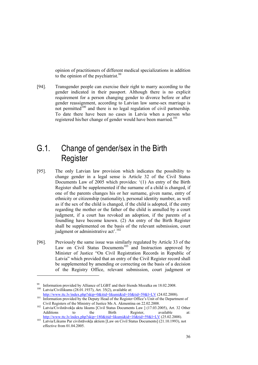opinion of practitioners of different medical specializations in addition to the opinion of the psychiatrist.<sup>99</sup>

[94]. Transgender people can exercise their right to marry according to the gender indicated in their passport. Although there is no explicit requirement for a person changing gender to divorce before or after gender reassignment, according to Latvian law same-sex marriage is not permitted<sup>100</sup> and there is no legal regulation of civil partnership. To date there have been no cases in Latvia when a person who registered his/her change of gender would have been married.<sup>101</sup>

### G.1. Change of gender/sex in the Birth **Register**

- [95]. The only Latvian law provision which indicates the possibility to change gender in a legal sense is Article 32 of the Civil Status Documents Law of 2005 which provides: '(1) An entry of the Birth Register shall be supplemented if the surname of a child is changed, if one of the parents changes his or her surname, given name, entry of ethnicity or citizenship (nationality), personal identity number, as well as if the sex of the child is changed, if the child is adopted, if the entry regarding the mother or the father of the child is annulled by a court judgment, if a court has revoked an adoption, if the parents of a foundling have become known. (2) An entry of the Birth Register shall be supplemented on the basis of the relevant submission, court judgment or administrative act'.<sup>102</sup>
- [96]. Previously the same issue was similarly regulated by Article 33 of the Law on Civil Status Documents<sup>103</sup> and Instruction approved by Minister of Justice "On Civil Registration Records in Republic of Latvia" which provided that an entry of the Civil Register record shall be supplemented by amending or correcting on the basis of a decision of the Registry Office, relevant submission, court judgment or

-

http://www.ttc.lv/index.php?skip=0&itid=likumi&id=10&tid=59&l=LV (24.02.2008).<br>
Information provided by the Deputy Head of the Register Office's Unit of the Department of

<sup>&</sup>lt;sup>99</sup> Information provided by Alliance of LGBT and their friends Mozaīka on 18.02.2008.<br><sup>100</sup> Latvia/Civillikums (28.01.1937), Art. 35(2), available at:

Civil Registers of the Ministry of Justice Ms A. Akmentina on 22.02.2008. 102 Latvia/Civilstāvokļa aktu likums [Civil Status Documents Law ] (17.03.2005), Art. 32 Other

Additions to the Birth Register, available at:<br>
http://www.ttc.lv/index.php?skip=180&titd=likumi&id=10&tid=59&l=LV (25.02.2008).

http://www.ttc.lumiaide.https.//index.php?skip=180&itid=103 Latvia/Likums Par civilstāvokļa aktiem [Law on Civil Status Documents] (21.10.1993), not effective from 01.04.2005.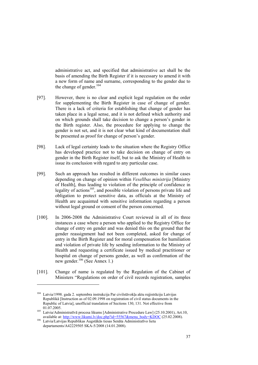administrative act, and specified that administrative act shall be the basis of amending the Birth Register if it is necessary to amend it with a new form of name and surname, corresponding to the gender due to the change of gender. $104$ 

- [97]. However, there is no clear and explicit legal regulation on the order for supplementing the Birth Register in case of change of gender. There is a lack of criteria for establishing that change of gender has taken place in a legal sense, and it is not defined which authority and on which grounds shall take decision to change a person's gender in the Birth register. Also, the procedure for applying to change the gender is not set, and it is not clear what kind of documentation shall be presented as proof for change of person's gender.
- [98]. Lack of legal certainty leads to the situation where the Registry Office has developed practice not to take decision on change of entry on gender in the Birth Register itself, but to ask the Ministry of Health to issue its conclusion with regard to any particular case.
- [99]. Such an approach has resulted in different outcomes in similar cases depending on change of opinion within *Veselības ministrija* [Ministry of Health], thus leading to violation of the principle of confidence in legality of actions<sup>105</sup>, and possible violation of persons private life and obligation to protect sensitive data, as officials at the Ministry of Health are acquainted with sensitive information regarding a person without legal ground or consent of the person concerned.
- [100]. In 2006-2008 the Administrative Court reviewed in all of its three instances a case where a person who applied to the Registry Office for change of entry on gender and was denied this on the ground that the gender reassignment had not been completed, asked for change of entry in the Birth Register and for moral compensation for humiliation and violation of private life by sending information to the Ministry of Health and requesting a certificate issued by medical practitioner or hospital on change of persons gender, as well as confirmation of the new gender.106 (See Annex 1.)
- [101]. Change of name is regulated by the Regulation of the Cabinet of Ministers "Regulations on order of civil records registration, samples

<sup>104</sup> Latvia/1998. gada 2. septembra instrukcija Par civilstāvokļa aktu reģistrāciju Latvijas Republikā [Instruction as of 02.09.1998 on registration of civil status documents in the Republic of Latvia], unofficial translation of Sections 130, 131. Not effective from

<sup>01.07.2005.&</sup>lt;br>
Latvia/Administratīvā procesa likums [Administrative Procedure Law] (25.10.2001), Art.10,<br>
available at: http://www.likumi.lv/doc.php?id=55567&menu\_body=KDOC (25.02.2008).

<sup>106</sup> Latvia/Latvijas Republikas Augstākās tiesas Senāta Administratīvo lietu departaments/A42229505 SKA-5/2008 (14.01.2008).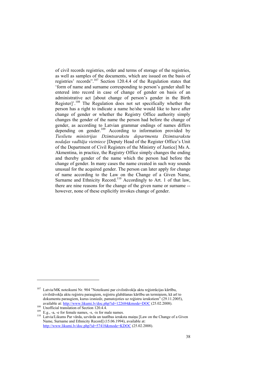of civil records registries, order and terms of storage of the registries, as well as samples of the documents, which are issued on the basis of registries' records".107 Section 120.4.4 of the Regulation states that 'form of name and surname corresponding to person's gender shall be entered into record in case of change of gender on basis of an administrative act [about change of person's gender in the Birth Register]'.108 The Regulation does not set specifically whether the person has a right to indicate a name he/she would like to have after change of gender or whether the Registry Office authority simply changes the gender of the name the person had before the change of gender, as according to Latvian grammar endings of names differs depending on gender.<sup>109</sup> According to information provided by *Tieslietu ministrijas Dzimtsarakstu departmenta Dzimtsarakstu nodaļas vadītāja vietniece* [Deputy Head of the Register Office's Unit of the Department of Civil Registers of the Ministry of Justice] Ms A. Akmentina, in practice, the Registry Office simply changes the ending and thereby gender of the name which the person had before the change of gender. In many cases the name created in such way sounds unusual for the acquired gender. The person can later apply for change of name according to the Law on the Change of a Given Name, Surname and Ethnicity Record.<sup>110</sup> Accordingly to Art. 1 of that law, there are nine reasons for the change of the given name or surname - however, none of these explicitly invokes change of gender.

 $107$  Latvia/MK noteikumi Nr. 904 "Noteikumi par civilstāvokļa aktu reģistrācijas kārtību, civilstāvokļa aktu reģistru paraugiem, reģistru glabāšanas kārtību un termiņiem, kā arī to dokumentu paraugiem, kurus izsniedz, pamatojoties uz reģistru ierakstiem" (29.11.2005), available at: http://www.likumi.lv/doc.php?id=122684&mode=DOC (25.02.2008).

<sup>&</sup>lt;sup>109</sup><br>
E.g., -a, -e for female names, -s, -is for male names.<br>
<sup>109</sup> E.g., -a, -e for female names, -s, -is for male names.<br>
<sup>110</sup> Latvia/Likums Par vārda, uzvārda un tautības ieraksta maiņu [Law on the Change of a Given Name, Surname and Ethnicity Record] (15.06.1994), available at: http://www.likumi.lv/doc.php?id=57418&mode=KDOC (25.02.2008).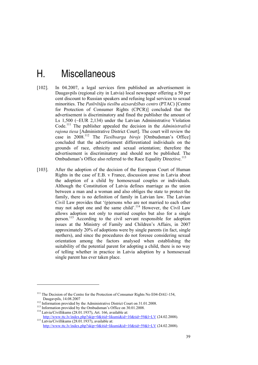## H. Miscellaneous

- [102]. In 04.2007, a legal services firm published an advertisement in Daugavpils (regional city in Latvia) local newspaper offering a 50 per cent discount to Russian speakers and refusing legal services to sexual minorities. The *Patērētāju tiesību aizsardzības centrs* (PTAC) [Centre for Protection of Consumer Rights (CPCR)] concluded that the advertisement is discriminatory and fined the publisher the amount of Ls 1,500 (~EUR 2,134) under the Latvian Administrative Violation Code.111 The publisher appealed the decision in the *Administratīvā rajona tiesa* [Administrative District Court]. The court will review the case in 2008.112 The *Tiesībsarga birojs* [Ombudsman's Office] concluded that the advertisement differentiated individuals on the grounds of race, ethnicity and sexual orientation; therefore the advertisement is discriminatory and should not be published. The Ombudsman's Office also referred to the Race Equality Directive.<sup>113</sup>
- [103]. After the adoption of the decision of the European Court of Human Rights in the case of E.B. v France, discussion arose in Latvia about the adoption of a child by homosexual couples or individuals. Although the Constitution of Latvia defines marriage as the union between a man and a woman and also obliges the state to protect the family, there is no definition of family in Latvian law. The Latvian Civil Law provides that '(p)ersons who are not married to each other may not adopt one and the same child'.<sup>114</sup> However, the Civil Law allows adoption not only to married couples but also for a single person.115 According to the civil servant responsible for adoption issues at the Ministry of Family and Children's Affairs, in 2007 approximately 20% of adoptions were by single parents (in fact, single mothers), and since the procedures do not foresee considering sexual orientation among the factors analysed when establishing the suitability of the potential parent for adopting a child, there is no way of telling whether in practice in Latvia adoption by a homosexual single parent has ever taken place.

<sup>&</sup>lt;sup>111</sup> The Decision of the Centre for the Protection of Consumer Rights No E04-DAU-154, Daugavpils, 14.08.2007<br><sup>112</sup> Information provided by the Administrative District Court on 31.01.2008.<br><sup>113</sup> Information provided by the Ombudsman's Office on 30.01.2008.<br><sup>114</sup> Latvia/Civillikums (28.01.1937), Art. 166, ava

http://www.ttc.lv/index.php?skip=0&itid=likumi&id=10&tid=59&l=LV (24.02.2008). http://www.ttc.lv/index.php?skip=0&itid=likumi&id=10&tid=59&l=LV (24.02.2008).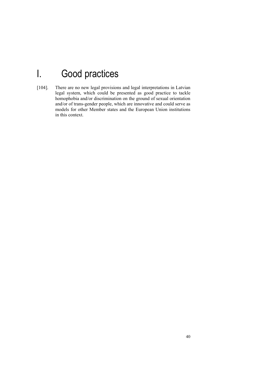# I. Good practices

[104]. There are no new legal provisions and legal interpretations in Latvian legal system, which could be presented as good practice to tackle homophobia and/or discrimination on the ground of sexual orientation and/or of trans-gender people, which are innovative and could serve as models for other Member states and the European Union institutions in this context.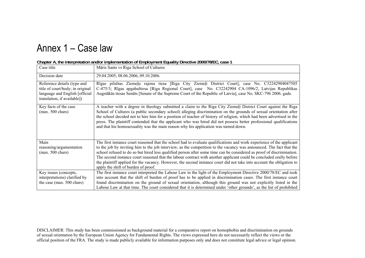## Annex 1 – Case law

| Case title                                                                                                                                                                                                                                                                                                                                                                                                                                                                                                                                                                                                                       | Māris Sants vs Riga School of Cultures                                                                                                                                                                                                                                                                                                                                                                                                                                                                                                                                                                                                                       |  |  |  |  |
|----------------------------------------------------------------------------------------------------------------------------------------------------------------------------------------------------------------------------------------------------------------------------------------------------------------------------------------------------------------------------------------------------------------------------------------------------------------------------------------------------------------------------------------------------------------------------------------------------------------------------------|--------------------------------------------------------------------------------------------------------------------------------------------------------------------------------------------------------------------------------------------------------------------------------------------------------------------------------------------------------------------------------------------------------------------------------------------------------------------------------------------------------------------------------------------------------------------------------------------------------------------------------------------------------------|--|--|--|--|
| Decision date                                                                                                                                                                                                                                                                                                                                                                                                                                                                                                                                                                                                                    | 29.04.2005, 08.06.2006, 09.10.2006.                                                                                                                                                                                                                                                                                                                                                                                                                                                                                                                                                                                                                          |  |  |  |  |
| Rīgas pilsētas Ziemeļu rajona tiesa [Riga City Ziemeļi District Court], case No. C32242904047505<br>Reference details (type and<br>title of court/body; in original<br>C-475/3; Rīgas apgabaltiesa [Riga Regional Court], case No. C32242904 CA-1096/2, Latvijas Republikas<br>language and English [official<br>Augstākās tiesas Senāts [Senate of the Supreme Court of the Republic of Latvia], case No. SKC-796 2006. gads.<br>translation, if available])                                                                                                                                                                    |                                                                                                                                                                                                                                                                                                                                                                                                                                                                                                                                                                                                                                                              |  |  |  |  |
| Key facts of the case<br>A teacher with a degree in theology submitted a claim to the Riga City Ziemeli District Court against the Riga<br>School of Cultures (a public secondary school) alleging discrimination on the grounds of sexual orientation after<br>$(max. 500 \text{ chars})$<br>the school decided not to hire him for a position of teacher of history of religion, which had been advertised in the<br>press. The plaintiff contended that the applicant who was hired did not possess better professional qualifications<br>and that his homosexuality was the main reason why his application was turned down. |                                                                                                                                                                                                                                                                                                                                                                                                                                                                                                                                                                                                                                                              |  |  |  |  |
| Main<br>reasoning/argumentation<br>$(max. 500 \text{ chars})$                                                                                                                                                                                                                                                                                                                                                                                                                                                                                                                                                                    | The first instance court reasoned that the school had to evaluate qualifications and work experience of the applicant<br>to the job by inviting him to the job interview, as the competition to the vacancy was announced. The fact that the<br>school refused to do so but hired less qualified person after some time can be considered as proof of discrimination.<br>The second instance court reasoned that the labour contract with another applicant could be concluded orally before<br>the plaintiff applied for the vacancy. However, the second instance court did not take into account the obligation to<br>apply the shift of burden of proof. |  |  |  |  |
| Key issues (concepts,<br>interpretations) clarified by<br>the case (max. 500 chars)                                                                                                                                                                                                                                                                                                                                                                                                                                                                                                                                              | The first instance court interpreted the Labour Law in the light of the Employment Directive 2000/78/EC and took<br>into account that the shift of burden of proof has to be applied in discrimination cases. The first instance court<br>found discrimination on the ground of sexual orientation, although this ground was not explicitly listed in the<br>Labour Law at that time. The court considered that it is determined under 'other grounds', as the list of prohibited                                                                                                                                                                            |  |  |  |  |

#### **Chapter A, the interpretation and/or implementation of Employment Equality Directive 2000/78/EC, case 1**

DISCLAIMER: This study has been commissioned as background material for a comparative report on homophobia and discrimination on grounds of sexual orientation by the European Union Agency for Fundamental Rights. The views expressed here do not necessarily reflect the views or the official position of the FRA. The study is made publicly available for information purposes only and does not constitute legal advice or legal opinion.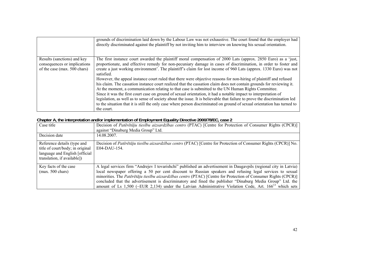|                                                                                             | grounds of discrimination laid down by the Labour Law was not exhaustive. The court found that the employer had<br>directly discriminated against the plaintiff by not inviting him to interview on knowing his sexual orientation.                                                                                                                                                                                                                                                                                                                                                                                                                                                                                                          |
|---------------------------------------------------------------------------------------------|----------------------------------------------------------------------------------------------------------------------------------------------------------------------------------------------------------------------------------------------------------------------------------------------------------------------------------------------------------------------------------------------------------------------------------------------------------------------------------------------------------------------------------------------------------------------------------------------------------------------------------------------------------------------------------------------------------------------------------------------|
| Results (sanctions) and key<br>consequences or implications<br>of the case (max. 500 chars) | The first instance court awarded the plaintiff moral compensation of 2000 Lats (approx. 2850 Euro) as a 'just,<br>proportionate, and effective remedy for non-pecuniary damage in cases of discrimination, in order to foster and<br>create a just working environment'. The plaintiff's claim for lost income of 960 Lats (approx. 1330 Euro) was not<br>satisfied.                                                                                                                                                                                                                                                                                                                                                                         |
|                                                                                             | However, the appeal instance court ruled that there were objective reasons for non-hiring of plaintiff and refused<br>his claim. The cassation instance court realized that the cassation claim does not contain grounds for reviewing it.<br>At the moment, a communication relating to that case is submitted to the UN Human Rights Committee.<br>Since it was the first court case on ground of sexual orientation, it had a notable impact to interpretation of<br>legislation, as well as to sense of society about the issue. It is believable that failure to prove the discrimination led<br>to the situation that it is still the only case where person discriminated on ground of sexual orientation has turned to<br>the court. |

#### **Chapter A, the interpretation and/or implementation of Employment Equality Directive 2000/78/EC, case 2**

| Case title                                                                                                                        | Decision of Patērētāju tiesību aizsardzības centrs (PTAC) [Centre for Protection of Consumer Rights (CPCR)]<br>against "Dinaburg Media Group" Ltd.                                                                                                                                                                                                                                                                                                                                                                                                                             |
|-----------------------------------------------------------------------------------------------------------------------------------|--------------------------------------------------------------------------------------------------------------------------------------------------------------------------------------------------------------------------------------------------------------------------------------------------------------------------------------------------------------------------------------------------------------------------------------------------------------------------------------------------------------------------------------------------------------------------------|
| Decision date                                                                                                                     | 14.08.2007.                                                                                                                                                                                                                                                                                                                                                                                                                                                                                                                                                                    |
| Reference details (type and<br>title of court/body; in original<br>language and English [official]<br>translation, if available]) | Decision of Pateretaju tiesību aizsardzības centrs (PTAC) [Centre for Protection of Consumer Rights (CPCR)] No.<br>E04-DAU-154.                                                                                                                                                                                                                                                                                                                                                                                                                                                |
| Key facts of the case<br>$(max. 500 \text{ chars})$                                                                               | A legal services firm "Andrejev I tovarishchi" published an advertisement in Daugavpils (regional city in Latvia)<br>local newspaper offering a 50 per cent discount to Russian speakers and refusing legal services to sexual<br>minorities. The Pateretaju tiesību aizsardzības centrs (PTAC) [Centre for Protection of Consumer Rights (CPCR)]<br>concluded that the advertisement is discriminatory and fined the publisher "Dinaburg Media Group" Ltd. the<br>amount of Ls 1,500 (~EUR 2,134) under the Latvian Administrative Violation Code, Art. $166^{13}$ which sets |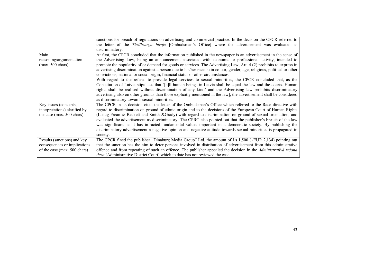|                                                                                                                                                   | sanctions for breach of regulations on advertising and commercial practice. In the decision the CPCR referred to         |  |  |  |  |  |  |
|---------------------------------------------------------------------------------------------------------------------------------------------------|--------------------------------------------------------------------------------------------------------------------------|--|--|--|--|--|--|
|                                                                                                                                                   | the letter of the <i>Tiesībsarga birojs</i> [Ombudsman's Office] where the advertisement was evaluated as                |  |  |  |  |  |  |
|                                                                                                                                                   | discriminatory.                                                                                                          |  |  |  |  |  |  |
| Main<br>At first, the CPCR concluded that the information published in the newspaper is an advertisement in the sense of                          |                                                                                                                          |  |  |  |  |  |  |
| reasoning/argumentation                                                                                                                           | the Advertising Law, being an announcement associated with economic or professional activity, intended to                |  |  |  |  |  |  |
| $(max. 500 \text{ chars})$                                                                                                                        | promote the popularity of or demand for goods or services. The Advertising Law, Art. 4 (2) prohibits to express in       |  |  |  |  |  |  |
|                                                                                                                                                   | advertising discrimination against a person due to his/her race, skin colour, gender, age, religious, political or other |  |  |  |  |  |  |
|                                                                                                                                                   | convictions, national or social origin, financial status or other circumstances.                                         |  |  |  |  |  |  |
|                                                                                                                                                   | With regard to the refusal to provide legal services to sexual minorities, the CPCR concluded that, as the               |  |  |  |  |  |  |
| Constitution of Latvia stipulates that '[a]ll human beings in Latvia shall be equal the law and the courts. Human                                 |                                                                                                                          |  |  |  |  |  |  |
| rights shall be realised without discrimination of any kind' and the Advertising law prohibits discriminatory                                     |                                                                                                                          |  |  |  |  |  |  |
| advertising also on other grounds than those explicitly mentioned in the law], the advertisement shall be considered                              |                                                                                                                          |  |  |  |  |  |  |
|                                                                                                                                                   | as discriminatory towards sexual minorities.                                                                             |  |  |  |  |  |  |
| Key issues (concepts,                                                                                                                             | The CPCR in its decision cited the letter of the Ombudsman's Office which referred to the Race directive with            |  |  |  |  |  |  |
| interpretations) clarified by                                                                                                                     | regard to discrimination on ground of ethnic origin and to the decisions of the European Court of Human Rights           |  |  |  |  |  |  |
| (Lustig-Prean & Beckett and Smith &Grady) with regard to discrimination on ground of sexual orientation, and<br>the case (max. 500 chars)         |                                                                                                                          |  |  |  |  |  |  |
|                                                                                                                                                   | evaluated the advertisement as discriminatory. The CPRC also pointed out that the publisher's breach of the law          |  |  |  |  |  |  |
|                                                                                                                                                   | was significant, as it has infracted fundamental values important in a democratic society. By publishing the             |  |  |  |  |  |  |
|                                                                                                                                                   | discriminatory advertisement a negative opinion and negative attitude towards sexual minorities is propagated in         |  |  |  |  |  |  |
| society.                                                                                                                                          |                                                                                                                          |  |  |  |  |  |  |
| Results (sanctions) and key                                                                                                                       | The CPCR fined the publisher "Dinaburg Media Group" Ltd. the amount of Ls $1,500$ (~EUR 2,134) pointing out              |  |  |  |  |  |  |
| that the sanction has the aim to deter persons involved in distribution of advertisement from this administrative<br>consequences or implications |                                                                                                                          |  |  |  |  |  |  |
| of the case (max. 500 chars)                                                                                                                      | offence and from repeating of such an offence. The publisher appealed the decision in the <i>Administratīvā rajona</i>   |  |  |  |  |  |  |
|                                                                                                                                                   | tiesa [Administrative District Court] which to date has not reviewed the case.                                           |  |  |  |  |  |  |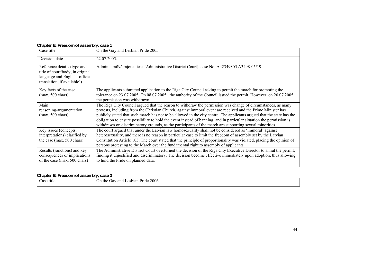#### **Chapter E, Freedom of assembly, case 1**

| Case title                                                                                                                                                                                                                                                                                                             | On the Gay and Lesbian Pride 2005.                                                                                                                                                                                                                                                                                                                                                                                                                                                                                                                                                        |  |  |  |  |
|------------------------------------------------------------------------------------------------------------------------------------------------------------------------------------------------------------------------------------------------------------------------------------------------------------------------|-------------------------------------------------------------------------------------------------------------------------------------------------------------------------------------------------------------------------------------------------------------------------------------------------------------------------------------------------------------------------------------------------------------------------------------------------------------------------------------------------------------------------------------------------------------------------------------------|--|--|--|--|
| Decision date<br>22.07.2005.                                                                                                                                                                                                                                                                                           |                                                                                                                                                                                                                                                                                                                                                                                                                                                                                                                                                                                           |  |  |  |  |
| Administratīvā rajona tiesa [Administrative District Court], case No. A42349805 A3498-05/19<br>Reference details (type and<br>title of court/body; in original<br>language and English [official]<br>translation, if available])                                                                                       |                                                                                                                                                                                                                                                                                                                                                                                                                                                                                                                                                                                           |  |  |  |  |
| Key facts of the case<br>The applicants submitted application to the Riga City Council asking to permit the march for promoting the<br>tolerance on 23.07.2005. On 08.07.2005., the authority of the Council issued the permit. However, on 20.07.2005,<br>$(max. 500 \text{ chars})$<br>the permission was withdrawn. |                                                                                                                                                                                                                                                                                                                                                                                                                                                                                                                                                                                           |  |  |  |  |
| Main<br>reasoning/argumentation<br>$(max. 500 \text{ chars})$                                                                                                                                                                                                                                                          | The Riga City Council argued that the reason to withdraw the permission was change of circumstances, as many<br>protests, including from the Christian Church, against immoral event are received and the Prime Minister has<br>publicly stated that such march has not to be allowed in the city centre. The applicants argued that the state has the<br>obligation to ensure possibility to hold the event instead of banning, and in particular situation the permission is<br>withdrawn on discriminatory grounds, as the participants of the march are supporting sexual minorities. |  |  |  |  |
| Key issues (concepts,<br>interpretations) clarified by<br>the case (max. 500 chars)                                                                                                                                                                                                                                    | The court argued that under the Latvian law homosexuality shall not be considered as 'immoral' against<br>heterosexuality, and there is no reason in particular case to limit the freedom of assembly set by the Latvian<br>Constitution Article 103. The court stated that the principle of proportionality was violated, placing the opinion of<br>persons protesting to the March over the fundamental right to assembly of applicants.                                                                                                                                                |  |  |  |  |
| Results (sanctions) and key<br>consequences or implications<br>of the case (max. 500 chars)                                                                                                                                                                                                                            | The Administrative District Court overturned the decision of the Riga City Executive Director to annul the permit,<br>finding it unjustified and discriminatory. The decision become effective immediately upon adoption, thus allowing<br>to hold the Pride on planned data.                                                                                                                                                                                                                                                                                                             |  |  |  |  |

#### **Chapter E, Freedom of assembly, case 2**

| ease<br>title<br>. | 2006.<br>Pride<br>Lesbian<br>On<br>and<br>the<br>$\sqrt{2}$ dv $\sim$ |
|--------------------|-----------------------------------------------------------------------|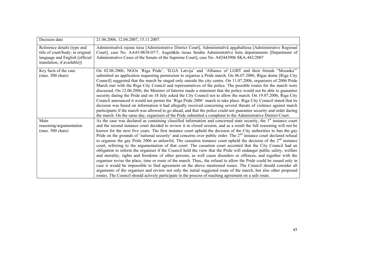| Decision date                                                                                                                    | 21.06.2006, 12.04.2007, 15.11.2007.                                                                                                                                                                                                                                                                                                                                                                                                                                                                                                                                                                                                                                                                                                                                                                                                                                                                                                                                                                                                                                                                                                                                                                                                                                                                                                                                                                                                                                    |
|----------------------------------------------------------------------------------------------------------------------------------|------------------------------------------------------------------------------------------------------------------------------------------------------------------------------------------------------------------------------------------------------------------------------------------------------------------------------------------------------------------------------------------------------------------------------------------------------------------------------------------------------------------------------------------------------------------------------------------------------------------------------------------------------------------------------------------------------------------------------------------------------------------------------------------------------------------------------------------------------------------------------------------------------------------------------------------------------------------------------------------------------------------------------------------------------------------------------------------------------------------------------------------------------------------------------------------------------------------------------------------------------------------------------------------------------------------------------------------------------------------------------------------------------------------------------------------------------------------------|
| Reference details (type and<br>title of court/body; in original<br>language and English [official<br>translation, if available]) | Administratīvā rajona tiesa [Administrative District Court], Administratīvā apgabaltiesa [Administrative Regional<br>Court], case No. AA43-0838-07/7, Augstākās tiesas Senāta Administratīvo lietu departaments [Department of<br>Administrative Cases of the Senate of the Supreme Court], case No. A42443906 SKA-442/2007                                                                                                                                                                                                                                                                                                                                                                                                                                                                                                                                                                                                                                                                                                                                                                                                                                                                                                                                                                                                                                                                                                                                            |
| Key facts of the case<br>$(max. 500 \text{ chars})$                                                                              | On 02.06.2006, NGOs 'Riga Pride', 'ILGA Latvija' and 'Alliance of LGBT and their friends "Mozaika"<br>submitted an application requesting permission to organise a Pride march. On 06.07.2006, Rīgas dome [Riga City<br>Council] suggested that the march be staged only outside the city centre. On 11.07.2006, organisers of 2006 Pride<br>March met with the Riga City Council and representatives of the police. The possible routes for the march were<br>discussed. On 12.06.2006, the Minister of Interior made a statement that the police would not be able to guarantee<br>security during the Pride and on 18 July asked the City Council not to allow the march. On 19.07.2006, Riga City<br>Council announced it would not permit the 'Riga Pride 2006' march to take place. Riga City Council stated that its<br>decision was based on information it had allegedly received concerning several threats of violence against march<br>participants if the march was allowed to go ahead, and that the police could not guarantee security and order during<br>the march. On the same day, organisers of the Pride submitted a complaint to the Administrative District Court.                                                                                                                                                                                                                                                                             |
| Main<br>reasoning/argumentation<br>$(max. 500 \text{ chars})$                                                                    | As the case was declared as containing classified information and concerned state security, the 1 <sup>st</sup> instance court<br>and the second instance court decided to review it in closed session, and as a result the full reasoning will not be<br>known for the next five years. The first instance court upheld the decision of the City authorities to ban the gay<br>Pride on the grounds of 'national security' and concerns over public order. The 2 <sup>nd</sup> instance court declared refusal<br>to organise the gay Pride 2006 as unlawful. The cassation instance court upheld the decision of the $2nd$ instance<br>court, referring to the argumentation of that court. The cassation court accented that the City Council had an<br>obligation to inform the organiser if the Council held the view that the Pride will endanger public safety, welfare<br>and morality, rights and freedoms of other persons, as well cause disorders or offences, and together with the<br>organiser revise the place, time or route of the march. Thus,, the refusal to allow the Pride could be issued only in<br>case it would be impossible to find agreement on the above mentioned issues. The Council should consider all<br>arguments of the organiser and review not only the initial suggested route of the march, but also other proposed<br>routes. The Council should actively participate in the process of reaching agreement on a safe route. |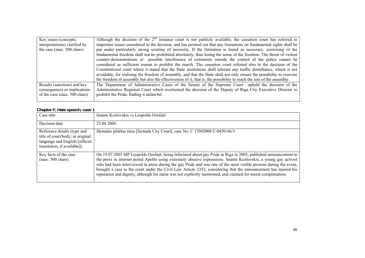| Key issues (concepts,         | Although the decision of the $2nd$ instance court is not publicly available, the cassation court has referred to       |
|-------------------------------|------------------------------------------------------------------------------------------------------------------------|
| interpretations) clarified by | important issues considered in the decision, and has pointed out that any limitations on fundamental rights shall be   |
| the case (max. 500 chars)     | put under particularly strong scrutiny of necessity. If the limitation is found as necessary, exercising of the        |
|                               | fundamental freedom shall not be prohibited absolutely, thus losing the sense of the freedom. The threat of violent    |
|                               | counter-demonstrations or possible interference of extremists outside the control of the police cannot be              |
|                               | considered as sufficient reason to prohibit the march. The cassation court referred also to the decision of the        |
|                               | Constitutional court where it stated that the State institutions shall tolerate any traffic disturbance, which is not  |
|                               | avoidable, for realising the freedom of assembly, and that the State shall not only ensure the possibility to exercise |
|                               | the freedom of assembly but also the effectiveness of it, that is, the possibility to reach the aim of the assembly.   |
| Results (sanctions) and key   | The Department of Administrative Cases of the Senate of the Supreme Court upheld the decision of the                   |
| consequences or implications  | Administrative Regional Court which overturned the decision of the Deputy of Riga City Executive Director to           |
| of the case (max. 500 chars)  | prohibit the Pride, finding it unlawful.                                                                               |
|                               |                                                                                                                        |

#### **Chapter F, Hate speech, case 1**

| Case title                                                                                                                        | Imants Kozlovskis vs Leopolds Ozoliņš                                                                                                                                                                                                                                                                                                                                                                                                                                                                                                                                                    |
|-----------------------------------------------------------------------------------------------------------------------------------|------------------------------------------------------------------------------------------------------------------------------------------------------------------------------------------------------------------------------------------------------------------------------------------------------------------------------------------------------------------------------------------------------------------------------------------------------------------------------------------------------------------------------------------------------------------------------------------|
| Decision date                                                                                                                     | 25.04.2006.                                                                                                                                                                                                                                                                                                                                                                                                                                                                                                                                                                              |
| Reference details (type and<br>title of court/body; in original<br>language and English [official]<br>translation, if available]) | Jūrmalas pilsētas tiesa [Jurmala City Court], case No. C 17043006 C-0430-06/3                                                                                                                                                                                                                                                                                                                                                                                                                                                                                                            |
| Key facts of the case<br>$(max. 500 \text{ chars})$                                                                               | On 19.07.2005 MP Leopolds Ozolinš, being infuriated about gay Pride in Riga in 2005, published announcement to<br>the press in internet portal Apollo using extremely abusive expressions. Imants Kozlovskis, a young gay activist<br>who had been interviewed in press during the gay Pride and was one of the most visible persons during the event,<br>brought a case to the court under the Civil Law Article 2352, considering that the announcement has injured his<br>reputation and dignity, although his name was not explicitly mentioned, and claimed for moral compensation. |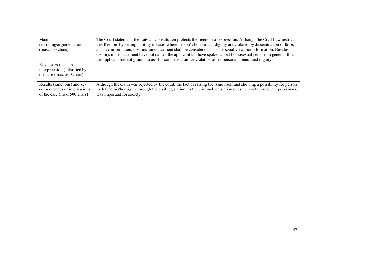| Main<br>reasoning/argumentation<br>$(max. 500 \text{ chars})$                               | The Court stated that the Latvian Constitution protects the freedom of expression. Although the Civil Law restricts<br>this freedom by setting liability in cases where person's honour and dignity are violated by dissemination of false,<br>abusive information, Ozolinš announcement shall be considered as his personal view, not information. Besides,<br>Ozolinš in his statement have not named the applicant but have spoken about homosexual persons in general, thus<br>the applicant has not ground to ask for compensation for violation of his personal honour and dignity. |
|---------------------------------------------------------------------------------------------|-------------------------------------------------------------------------------------------------------------------------------------------------------------------------------------------------------------------------------------------------------------------------------------------------------------------------------------------------------------------------------------------------------------------------------------------------------------------------------------------------------------------------------------------------------------------------------------------|
| Key issues (concepts,<br>interpretations) clarified by<br>the case (max. 500 chars)         |                                                                                                                                                                                                                                                                                                                                                                                                                                                                                                                                                                                           |
| Results (sanctions) and key<br>consequences or implications<br>of the case (max. 500 chars) | Although the claim was rejected by the court, the fact of raising the issue itself and showing a possibility for person<br>to defend his/her rights through the civil legislation, as the criminal legislation does not contain relevant provisions,<br>was important for society.                                                                                                                                                                                                                                                                                                        |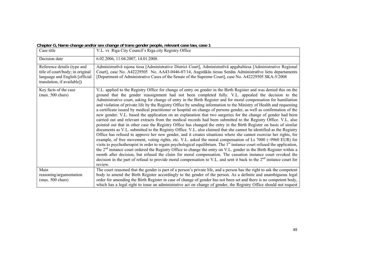|  |  |  | Chapter G, Name change and/or sex change of trans gender people, relevant case law, case 1 |
|--|--|--|--------------------------------------------------------------------------------------------|
|  |  |  |                                                                                            |

| Case title                                                                                                                       | V.L. vs Riga City Council's Riga city Registry Office                                                                                                                                                                                                                                                                                                                                                                                                                                                                                                                                                                                                                                                                                                                                                                                                                                                                                                                                                                                                                                                                                                                                                                                                                                                                                                                                                                                                                                                                                                                                                                                                                                                                                                                                                                                                         |
|----------------------------------------------------------------------------------------------------------------------------------|---------------------------------------------------------------------------------------------------------------------------------------------------------------------------------------------------------------------------------------------------------------------------------------------------------------------------------------------------------------------------------------------------------------------------------------------------------------------------------------------------------------------------------------------------------------------------------------------------------------------------------------------------------------------------------------------------------------------------------------------------------------------------------------------------------------------------------------------------------------------------------------------------------------------------------------------------------------------------------------------------------------------------------------------------------------------------------------------------------------------------------------------------------------------------------------------------------------------------------------------------------------------------------------------------------------------------------------------------------------------------------------------------------------------------------------------------------------------------------------------------------------------------------------------------------------------------------------------------------------------------------------------------------------------------------------------------------------------------------------------------------------------------------------------------------------------------------------------------------------|
| Decision date                                                                                                                    | 6.02.2006, 11.04.2007, 14.01.2008.                                                                                                                                                                                                                                                                                                                                                                                                                                                                                                                                                                                                                                                                                                                                                                                                                                                                                                                                                                                                                                                                                                                                                                                                                                                                                                                                                                                                                                                                                                                                                                                                                                                                                                                                                                                                                            |
| Reference details (type and<br>title of court/body; in original<br>language and English [official<br>translation, if available]) | Administratīvā rajona tiesa [Administrative District Court], Administratīvā apgabaltiesa [Administrative Regional<br>Court], case No. A42229505 No. AA43-0446-07/14, Augstākās tiesas Senāta Administratīvo lietu departaments<br>[Department of Administrative Cases of the Senate of the Supreme Court], case No. A42229505 SKA-5/2008                                                                                                                                                                                                                                                                                                                                                                                                                                                                                                                                                                                                                                                                                                                                                                                                                                                                                                                                                                                                                                                                                                                                                                                                                                                                                                                                                                                                                                                                                                                      |
| Key facts of the case<br>$(max. 500 \text{ chars})$                                                                              | V.L. applied to the Registry Office for change of entry on gender in the Birth Register and was denied this on the<br>ground that the gender reassignment had not been completed fully. V.L. appealed the decision to the<br>Administrative court, asking for change of entry in the Birth Register and for moral compensation for humiliation<br>and violation of private life by the Registry Office by sending information to the Ministry of Health and requesting<br>a certificate issued by medical practitioner or hospital on change of persons gender, as well as confirmation of the<br>new gender. V.L. based the application on an explanation that two surgeries for the change of gender had been<br>carried out and relevant extracts from the medical records had been submitted to the Registry Office. V.L. also<br>pointed out that in other case the Registry Office has changed the entry in the Birth Register on basis of similar<br>documents as V.L. submitted to the Registry Office. V.L. also claimed that she cannot be identified as the Registry<br>Office has refused to approve her new gender, and it creates situations where she cannot exercise her rights, for<br>example, of free movement, voting rights, etc. V.L. asked the moral compensation of Ls 7000 (~9960 EUR) for<br>visits to psychotherapist in order to regain psychological equilibrium. The 1 <sup>st</sup> instance court refused the application,<br>the 2 <sup>nd</sup> instance court ordered the Registry Office to change the entry on V.L. gender in the Birth Register within a<br>month after decision, but refused the claim for moral compensation. The cassation instance court revoked the<br>decision in the part of refusal to provide moral compensation to V.L. and sent it back to the 2 <sup>nd</sup> instance court for<br>review. |
| Main                                                                                                                             | The court reasoned that the gender is part of a person's private life, and a person has the right to ask the competent                                                                                                                                                                                                                                                                                                                                                                                                                                                                                                                                                                                                                                                                                                                                                                                                                                                                                                                                                                                                                                                                                                                                                                                                                                                                                                                                                                                                                                                                                                                                                                                                                                                                                                                                        |
| reasoning/argumentation<br>$(max. 500 \text{ chars})$                                                                            | body to amend the Birth Register accordingly to the gender of the person. As a definite and unambiguous legal<br>order for amending the Birth Register in case of change of gender has not been set and there is no competent body,                                                                                                                                                                                                                                                                                                                                                                                                                                                                                                                                                                                                                                                                                                                                                                                                                                                                                                                                                                                                                                                                                                                                                                                                                                                                                                                                                                                                                                                                                                                                                                                                                           |
|                                                                                                                                  | which has a legal right to issue an administrative act on change of gender, the Registry Office should not request                                                                                                                                                                                                                                                                                                                                                                                                                                                                                                                                                                                                                                                                                                                                                                                                                                                                                                                                                                                                                                                                                                                                                                                                                                                                                                                                                                                                                                                                                                                                                                                                                                                                                                                                            |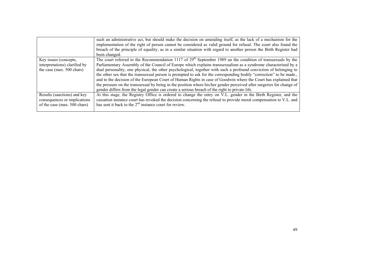|                               | such an administrative act, but should make the decision on amending itself, as the lack of a mechanism for the<br>implementation of the right of person cannot be considered as valid ground for refusal. The court also found the<br>breach of the principle of equality, as in a similar situation with regard to another person the Birth Register had<br>been changed. |
|-------------------------------|-----------------------------------------------------------------------------------------------------------------------------------------------------------------------------------------------------------------------------------------------------------------------------------------------------------------------------------------------------------------------------|
| Key issues (concepts,         | The court referred to the Recommendation 1117 of $29th$ September 1989 un the condition of transsexuals by the                                                                                                                                                                                                                                                              |
| interpretations) clarified by | Parliamentary Assembly of the Council of Europe which explains transsexualism as a syndrome characterised by a                                                                                                                                                                                                                                                              |
| the case (max. 500 chars)     | dual personality, one physical, the other psychological, together with such a profound conviction of belonging to                                                                                                                                                                                                                                                           |
|                               | the other sex that the transsexual person is prompted to ask for the corresponding bodily "correction" to be made.,                                                                                                                                                                                                                                                         |
|                               | and to the decision of the European Court of Human Rights in case of Goodwin where the Court has explained that                                                                                                                                                                                                                                                             |
|                               | the pressure on the transsexual by being in the position where his/her gender perceived after surgeries for change of                                                                                                                                                                                                                                                       |
|                               | gender differs from the legal gender can create a serious breach of the right to private life.                                                                                                                                                                                                                                                                              |
| Results (sanctions) and key   | At this stage, the Registry Office is ordered to change the entry on V.L. gender in the Birth Register, and the                                                                                                                                                                                                                                                             |
| consequences or implications  | cassation instance court has revoked the decision concerning the refusal to provide moral compensation to V.L. and                                                                                                                                                                                                                                                          |
| of the case (max. 500 chars)  | has sent it back to the $2nd$ instance court for review.                                                                                                                                                                                                                                                                                                                    |
|                               |                                                                                                                                                                                                                                                                                                                                                                             |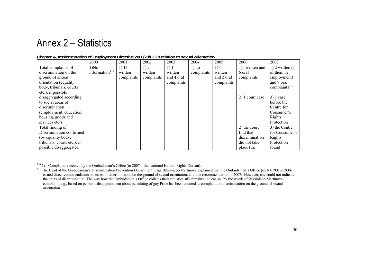## Annex 2 – Statistics

|                             | 2000                       | 2001       | 2002       | 2003       | 2004       | 2005       | 2006            | 2007                      |
|-----------------------------|----------------------------|------------|------------|------------|------------|------------|-----------------|---------------------------|
| Total complaints of         | 1) No                      | 1) 11      | 1)2        | 1)1        | $1)$ no    | 1) 6       | 1)5 written and | $1)$ 2 written $(1)$      |
| discrimination on the       | information <sup>116</sup> | written    | written    | written    | complaints | written    | 6 oral          | of them in                |
| ground of sexual            |                            | complaints | complaints | and 4 oral |            | and 2 oral | complaints      | employment)               |
| orientation (equality)      |                            |            |            | complaints |            | complaints |                 | and 9 oral                |
| body, tribunals, courts     |                            |            |            |            |            |            |                 | complaints <sup>117</sup> |
| etc.): if possible          |                            |            |            |            |            |            |                 |                           |
| disaggregated according     |                            |            |            |            |            |            | 2) 1 court case | $3)$ 1 case               |
| to social areas of          |                            |            |            |            |            |            |                 | before the                |
| discrimination              |                            |            |            |            |            |            |                 | Centre for                |
| (employment, education,     |                            |            |            |            |            |            |                 | Consumer's                |
| housing, goods and          |                            |            |            |            |            |            |                 | Rights                    |
| services etc.)              |                            |            |            |            |            |            |                 | Protection                |
| Total finding of            |                            |            |            |            |            |            | 2) the court    | 3) the Centre             |
| Discrimination confirmed    |                            |            |            |            |            |            | find that       | for Consumer's            |
| (by equality body,          |                            |            |            |            |            |            | discrimination  | Rights                    |
| tribunals, courts etc.): if |                            |            |            |            |            |            | did not take    | Protection                |
| possible disaggregated      |                            |            |            |            |            |            | place (the      | found                     |

#### **Chapter A, Implementation of Employment Directive 2000/78/EC in relation to sexual orientation**

 $116$  1) - Complaints received by the Ombudsman's Office (to  $2007$  – the National Human Rights Oureau).

<sup>&</sup>lt;sup>117</sup> The Head of the Ombudsman's Discrimination Prevention Department L:īga Biksiniece-Martinova explained that the Ombudsman's Office (ex NHRO) in 2006 issued three recommendations in cases of discrimination on the ground of sexual orientation, and one recommendation in 2007. However, she could not indicate the areas of discrimination. The way how the Ombudsman's Office collects their statistics still remains unclear, as, by the words of Biksiniece-Martinova, complaint, e.g., based on person's disappointment about permitting of gay Pride has been counted as complaint on discrimination on the ground of sexual orientation.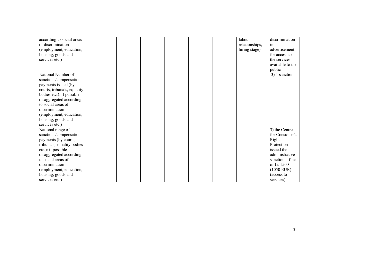| according to social areas<br>of discrimination<br>(employment, education,<br>housing, goods and<br>services etc.)                                                                                                                                                     |  |  |  | labour<br>relationships,<br>hiring stage) | discrimination<br><sub>1</sub> n<br>advertisement<br>for access to<br>the services<br>available to the<br>public                                                      |
|-----------------------------------------------------------------------------------------------------------------------------------------------------------------------------------------------------------------------------------------------------------------------|--|--|--|-------------------------------------------|-----------------------------------------------------------------------------------------------------------------------------------------------------------------------|
| National Number of<br>sanctions/compensation<br>payments issued (by<br>courts, tribunals, equality<br>bodies etc.): if possible<br>disaggregated according<br>to social areas of<br>discrimination<br>(employment, education,<br>housing, goods and<br>services etc.) |  |  |  |                                           | 3) 1 sanction                                                                                                                                                         |
| National range of<br>sanctions/compensation<br>payments (by courts,<br>tribunals, equality bodies<br>etc.): if possible<br>disaggregated according<br>to social areas of<br>discrimination<br>(employment, education,<br>housing, goods and<br>services etc.)         |  |  |  |                                           | 3) the Centre<br>for Consumer's<br>Rights<br>Protection<br>issued the<br>administrative<br>sanction $-$ fine<br>of Ls 1500<br>$(1050$ EUR)<br>(access to<br>services) |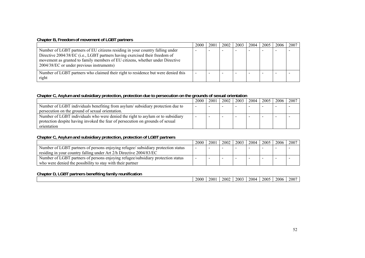#### **Chapter B, Freedom of movement of LGBT partners**

|                                                                                                                                                                                                                                                                                            | 2000 | 2001 | 2002 | 2003 | 2004 | 2005 | 2006 | 2007 |
|--------------------------------------------------------------------------------------------------------------------------------------------------------------------------------------------------------------------------------------------------------------------------------------------|------|------|------|------|------|------|------|------|
| Number of LGBT partners of EU citizens residing in your country falling under<br>Directive 2004/38/EC (i.e., LGBT partners having exercised their freedom of<br>movement as granted to family members of EU citizens, whether under Directive<br>2004/38/EC or under previous instruments) |      |      |      |      |      |      |      |      |
| Number of LGBT partners who claimed their right to residence but were denied this<br>right                                                                                                                                                                                                 |      |      |      |      |      |      |      |      |

#### **Chapter C, Asylum and subsidiary protection, protection due to persecution on the grounds of sexual orientation**

|                                                                                 | 2000 | 2001 | 2002 | 2003 | 2004 | 2005 | 2006 | 2007 |
|---------------------------------------------------------------------------------|------|------|------|------|------|------|------|------|
| Number of LGBT individuals benefiting from asylum/subsidiary protection due to  |      |      |      |      |      |      |      |      |
| persecution on the ground of sexual orientation.                                |      |      |      |      |      |      |      |      |
| Number of LGBT individuals who were denied the right to asylum or to subsidiary |      |      |      |      |      |      |      |      |
| protection despite having invoked the fear of persecution on grounds of sexual  |      |      |      |      |      |      |      |      |
| orientation                                                                     |      |      |      |      |      |      |      |      |

### **Chapter C, Asylum and subsidiary protection, protection of LGBT partners**

|                                                                                   | 2000 | 2001 | 2002 | 2003 | 2004 | 2005 | 2006 | 2007 |
|-----------------------------------------------------------------------------------|------|------|------|------|------|------|------|------|
| Number of LGBT partners of persons enjoying refugee/ subsidiary protection status |      |      |      |      |      |      |      |      |
| residing in your country falling under Art 2/h Directive 2004/83/EC               |      |      |      |      |      |      |      |      |
| Number of LGBT partners of persons enjoying refugee/subsidiary protection status  |      |      |      |      | -    |      |      |      |
| who were denied the possibility to stay with their partner                        |      |      |      |      |      |      |      |      |

| <b>CDT</b><br>Chapter<br>---<br>partners benefiting<br>tamily<br>' reunification<br>.GR<br>υ, |      |     |      |      |            |      |      |      |
|-----------------------------------------------------------------------------------------------|------|-----|------|------|------------|------|------|------|
|                                                                                               | 2000 | 200 | 2002 | 2003 | ר $\alpha$ | 2005 | 2006 | 2007 |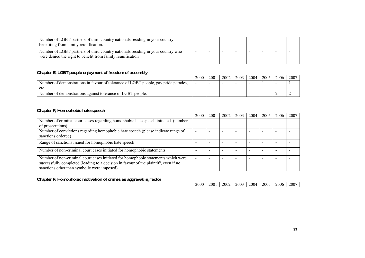| Number of LGBT partners of third country nationals residing in your country<br>benefiting from family reunification.                          |  | $\overline{\phantom{0}}$ | $\,$ | $\overline{\phantom{0}}$ |  |
|-----------------------------------------------------------------------------------------------------------------------------------------------|--|--------------------------|------|--------------------------|--|
| Number of LGBT partners of third country nationals residing in your country who<br>were denied the right to benefit from family reunification |  |                          |      |                          |  |

#### **Chapter E, LGBT people enjoyment of freedom of assembly**

|                                                                                    | 2000 | 200 | 2002 | 2003 | 2004 | 2005 | 2006 | 2007 |
|------------------------------------------------------------------------------------|------|-----|------|------|------|------|------|------|
| Number of demonstrations in favour of tolerance of LGBT people, gay pride parades, |      |     |      |      |      |      |      |      |
| etc                                                                                |      |     |      |      |      |      |      |      |
| Number of demonstrations against tolerance of LGBT people.                         |      |     |      |      |      |      |      |      |

#### **Chapter F, Homophobic hate speech**

|                                                                                                                                                                                                                          | 2000 | 2001 | 2002 | 2003 | 2004                     | 2005 | 2006 | 2007 |
|--------------------------------------------------------------------------------------------------------------------------------------------------------------------------------------------------------------------------|------|------|------|------|--------------------------|------|------|------|
| Number of criminal court cases regarding homophobic hate speech initiated (number                                                                                                                                        |      |      |      |      |                          |      |      |      |
| of prosecutions)                                                                                                                                                                                                         |      |      |      |      |                          |      |      |      |
| Number of convictions regarding homophobic hate speech (please indicate range of                                                                                                                                         |      |      |      | -    | -                        |      |      |      |
| sanctions ordered)                                                                                                                                                                                                       |      |      |      |      |                          |      |      |      |
| Range of sanctions issued for homophobic hate speech                                                                                                                                                                     |      |      |      |      |                          |      |      |      |
| Number of non-criminal court cases initiated for homophobic statements                                                                                                                                                   |      |      |      |      | $\overline{\phantom{a}}$ |      |      |      |
| Number of non-criminal court cases initiated for homophobic statements which were<br>successfully completed (leading to a decision in favour of the plaintiff, even if no<br>sanctions other than symbolic were imposed) |      |      |      |      |                          |      |      |      |

#### **Chapter F, Homophobic motivation of crimes as aggravating factor**

|  |  | 2000 | 2001 | 2002 | 2003 | 2004 | 2005<br>. . | 2006 | $-200^\circ$ |
|--|--|------|------|------|------|------|-------------|------|--------------|
|  |  |      |      |      |      |      |             |      |              |